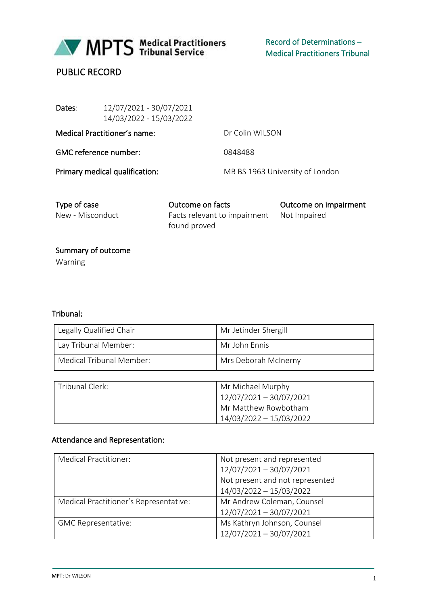

MPTS Medical Practitioners

# PUBLIC RECORD

| Dates:                       | 12/07/2021 - 30/07/2021<br>14/03/2022 - 15/03/2022 |                                 |
|------------------------------|----------------------------------------------------|---------------------------------|
| Medical Practitioner's name: |                                                    | Dr Colin WILSON                 |
| <b>GMC</b> reference number: |                                                    | 0848488                         |
|                              | Primary medical qualification:                     | MB BS 1963 University of London |
|                              |                                                    |                                 |

Type of case Outcome on facts Outcome on impairment New - Misconduct Facts relevant to impairment found proved Not Impaired

 Summary of outcome Warning

## Tribunal:

| Legally Qualified Chair  | Mr Jetinder Shergill |
|--------------------------|----------------------|
| Lay Tribunal Member:     | Mr John Fnnis        |
| Medical Tribunal Member: | Mrs Deborah McInerny |

| Tribunal Clerk: | Mr Michael Murphy         |
|-----------------|---------------------------|
|                 | $12/07/2021 - 30/07/2021$ |
|                 | Mr Matthew Rowbotham      |
|                 | 14/03/2022 - 15/03/2022   |

## Attendance and Representation:

| <b>Medical Practitioner:</b>           | Not present and represented     |
|----------------------------------------|---------------------------------|
|                                        | 12/07/2021 - 30/07/2021         |
|                                        | Not present and not represented |
|                                        | 14/03/2022 - 15/03/2022         |
| Medical Practitioner's Representative: | Mr Andrew Coleman, Counsel      |
|                                        | 12/07/2021 - 30/07/2021         |
| <b>GMC Representative:</b>             | Ms Kathryn Johnson, Counsel     |
|                                        | 12/07/2021 - 30/07/2021         |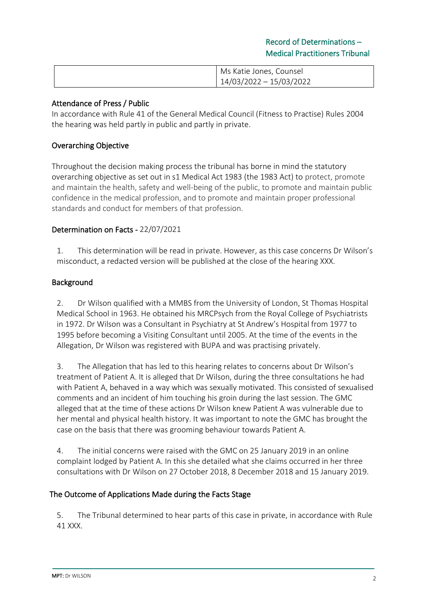| Ms Katie Jones, Counsel |
|-------------------------|
| 14/03/2022 - 15/03/2022 |

### Attendance of Press / Public

In accordance with Rule 41 of the General Medical Council (Fitness to Practise) Rules 2004 the hearing was held partly in public and partly in private.

## Overarching Objective

Throughout the decision making process the tribunal has borne in mind the statutory overarching objective as set out in s1 Medical Act 1983 (the 1983 Act) to protect, promote and maintain the health, safety and well-being of the public, to promote and maintain public confidence in the medical profession, and to promote and maintain proper professional standards and conduct for members of that profession.

#### Determination on Facts - 22/07/2021

1. This determination will be read in private. However, as this case concerns Dr Wilson's misconduct, a redacted version will be published at the close of the hearing XXX.

#### Background

2. Dr Wilson qualified with a MMBS from the University of London, St Thomas Hospital Medical School in 1963. He obtained his MRCPsych from the Royal College of Psychiatrists in 1972. Dr Wilson was a Consultant in Psychiatry at St Andrew's Hospital from 1977 to 1995 before becoming a Visiting Consultant until 2005. At the time of the events in the Allegation, Dr Wilson was registered with BUPA and was practising privately.

3. The Allegation that has led to this hearing relates to concerns about Dr Wilson's treatment of Patient A. It is alleged that Dr Wilson, during the three consultations he had with Patient A, behaved in a way which was sexually motivated. This consisted of sexualised comments and an incident of him touching his groin during the last session. The GMC alleged that at the time of these actions Dr Wilson knew Patient A was vulnerable due to her mental and physical health history. It was important to note the GMC has brought the case on the basis that there was grooming behaviour towards Patient A.

4. The initial concerns were raised with the GMC on 25 January 2019 in an online complaint lodged by Patient A. In this she detailed what she claims occurred in her three consultations with Dr Wilson on 27 October 2018, 8 December 2018 and 15 January 2019.

#### The Outcome of Applications Made during the Facts Stage

5. The Tribunal determined to hear parts of this case in private, in accordance with Rule 41 XXX.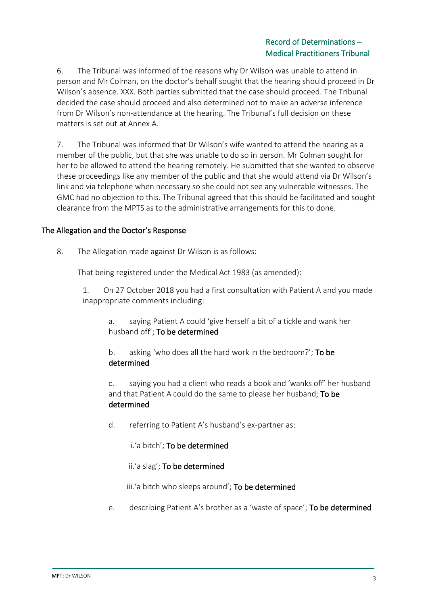6. The Tribunal was informed of the reasons why Dr Wilson was unable to attend in person and Mr Colman, on the doctor's behalf sought that the hearing should proceed in Dr Wilson's absence. XXX. Both parties submitted that the case should proceed. The Tribunal decided the case should proceed and also determined not to make an adverse inference from Dr Wilson's non-attendance at the hearing. The Tribunal's full decision on these matters is set out at Annex A.

7. The Tribunal was informed that Dr Wilson's wife wanted to attend the hearing as a member of the public, but that she was unable to do so in person. Mr Colman sought for her to be allowed to attend the hearing remotely. He submitted that she wanted to observe these proceedings like any member of the public and that she would attend via Dr Wilson's link and via telephone when necessary so she could not see any vulnerable witnesses. The GMC had no objection to this. The Tribunal agreed that this should be facilitated and sought clearance from the MPTS as to the administrative arrangements for this to done.

#### The Allegation and the Doctor's Response

8. The Allegation made against Dr Wilson is as follows:

That being registered under the Medical Act 1983 (as amended):

1. On 27 October 2018 you had a first consultation with Patient A and you made inappropriate comments including:

a. saying Patient A could 'give herself a bit of a tickle and wank her husband off'; To be determined

b. asking 'who does all the hard work in the bedroom?'; To be determined

c. saying you had a client who reads a book and 'wanks off' her husband and that Patient A could do the same to please her husband; To be determined

d. referring to Patient A's husband's ex-partner as:

i.'a bitch'; To be determined

ii.'a slag'; To be determined

iii.'a bitch who sleeps around'; To be determined

e. describing Patient A's brother as a 'waste of space'; To be determined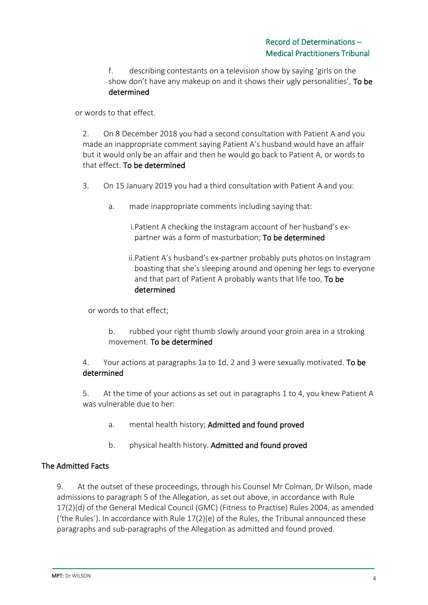f. describing contestants on a television show by saying 'girls on the show don't have any makeup on and it shows their ugly personalities', To be determined

or words to that effect.

2. On 8 December 2018 you had a second consultation with Patient A and you made an inappropriate comment saying Patient A's husband would have an affair but it would only be an affair and then he would go back to Patient A, or words to that effect. To be determined

- 3. On 15 January 2019 you had a third consultation with Patient A and you:
	- a. made inappropriate comments including saying that:

i.Patient A checking the Instagram account of her husband's expartner was a form of masturbation; To be determined

ii.Patient A's husband's ex-partner probably puts photos on Instagram boasting that she's sleeping around and opening her legs to everyone and that part of Patient A probably wants that life too, To be determined

or words to that effect;

b. rubbed your right thumb slowly around your groin area in a stroking movement. To be determined

4. Your actions at paragraphs 1a to 1d, 2 and 3 were sexually motivated. To be determined

5. At the time of your actions as set out in paragraphs 1 to 4, you knew Patient A was vulnerable due to her:

- a. mental health history; Admitted and found proved
- b. physical health history. Admitted and found proved

#### The Admitted Facts

9. At the outset of these proceedings, through his Counsel Mr Colman, Dr Wilson, made admissions to paragraph 5 of the Allegation, as set out above, in accordance with Rule 17(2)(d) of the General Medical Council (GMC) (Fitness to Practise) Rules 2004, as amended ('the Rules'). In accordance with Rule  $17(2)$ (e) of the Rules, the Tribunal announced these paragraphs and sub-paragraphs of the Allegation as admitted and found proved.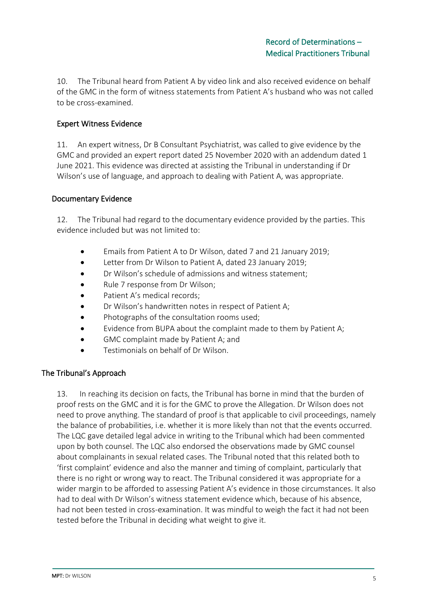10. The Tribunal heard from Patient A by video link and also received evidence on behalf of the GMC in the form of witness statements from Patient A's husband who was not called to be cross-examined.

### Expert Witness Evidence

11. An expert witness, Dr B Consultant Psychiatrist, was called to give evidence by the GMC and provided an expert report dated 25 November 2020 with an addendum dated 1 June 2021. This evidence was directed at assisting the Tribunal in understanding if Dr Wilson's use of language, and approach to dealing with Patient A, was appropriate.

#### Documentary Evidence

12. The Tribunal had regard to the documentary evidence provided by the parties. This evidence included but was not limited to:

- Emails from Patient A to Dr Wilson, dated 7 and 21 January 2019;
- Letter from Dr Wilson to Patient A, dated 23 January 2019;
- Dr Wilson's schedule of admissions and witness statement;
- Rule 7 response from Dr Wilson;
- Patient A's medical records;
- Dr Wilson's handwritten notes in respect of Patient A;
- Photographs of the consultation rooms used;
- Evidence from BUPA about the complaint made to them by Patient A;
- GMC complaint made by Patient A; and
- Testimonials on behalf of Dr Wilson.

#### The Tribunal's Approach

13. In reaching its decision on facts, the Tribunal has borne in mind that the burden of proof rests on the GMC and it is for the GMC to prove the Allegation. Dr Wilson does not need to prove anything. The standard of proof is that applicable to civil proceedings, namely the balance of probabilities, i.e. whether it is more likely than not that the events occurred. The LQC gave detailed legal advice in writing to the Tribunal which had been commented upon by both counsel. The LQC also endorsed the observations made by GMC counsel about complainants in sexual related cases. The Tribunal noted that this related both to 'first complaint' evidence and also the manner and timing of complaint, particularly that there is no right or wrong way to react. The Tribunal considered it was appropriate for a wider margin to be afforded to assessing Patient A's evidence in those circumstances. It also had to deal with Dr Wilson's witness statement evidence which, because of his absence, had not been tested in cross-examination. It was mindful to weigh the fact it had not been tested before the Tribunal in deciding what weight to give it.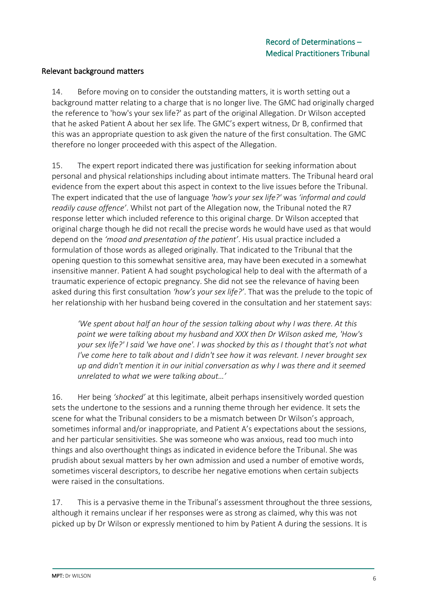#### Relevant background matters

14. Before moving on to consider the outstanding matters, it is worth setting out a background matter relating to a charge that is no longer live. The GMC had originally charged the reference to 'how's your sex life?' as part of the original Allegation. Dr Wilson accepted that he asked Patient A about her sex life. The GMC's expert witness, Dr B, confirmed that this was an appropriate question to ask given the nature of the first consultation. The GMC therefore no longer proceeded with this aspect of the Allegation.

15. The expert report indicated there was justification for seeking information about personal and physical relationships including about intimate matters. The Tribunal heard oral evidence from the expert about this aspect in context to the live issues before the Tribunal. The expert indicated that the use of language *'how's your sex life?'* was *'informal and could readily cause offence'*. Whilst not part of the Allegation now, the Tribunal noted the R7 response letter which included reference to this original charge. Dr Wilson accepted that original charge though he did not recall the precise words he would have used as that would depend on the *'mood and presentation of the patient'*. His usual practice included a formulation of those words as alleged originally. That indicated to the Tribunal that the opening question to this somewhat sensitive area, may have been executed in a somewhat insensitive manner. Patient A had sought psychological help to deal with the aftermath of a traumatic experience of ectopic pregnancy. She did not see the relevance of having been asked during this first consultation *'how's your sex life?'*. That was the prelude to the topic of her relationship with her husband being covered in the consultation and her statement says:

*'We spent about half an hour of the session talking about why I was there. At this point we were talking about my husband and XXX then Dr Wilson asked me, 'How's your sex life?' I said 'we have one'. I was shocked by this as I thought that's not what I've come here to talk about and I didn't see how it was relevant. I never brought sex up and didn't mention it in our initial conversation as why I was there and it seemed unrelated to what we were talking about…'*

16. Her being *'shocked'* at this legitimate, albeit perhaps insensitively worded question sets the undertone to the sessions and a running theme through her evidence. It sets the scene for what the Tribunal considers to be a mismatch between Dr Wilson's approach, sometimes informal and/or inappropriate, and Patient A's expectations about the sessions, and her particular sensitivities. She was someone who was anxious, read too much into things and also overthought things as indicated in evidence before the Tribunal. She was prudish about sexual matters by her own admission and used a number of emotive words, sometimes visceral descriptors, to describe her negative emotions when certain subjects were raised in the consultations.

17. This is a pervasive theme in the Tribunal's assessment throughout the three sessions, although it remains unclear if her responses were as strong as claimed, why this was not picked up by Dr Wilson or expressly mentioned to him by Patient A during the sessions. It is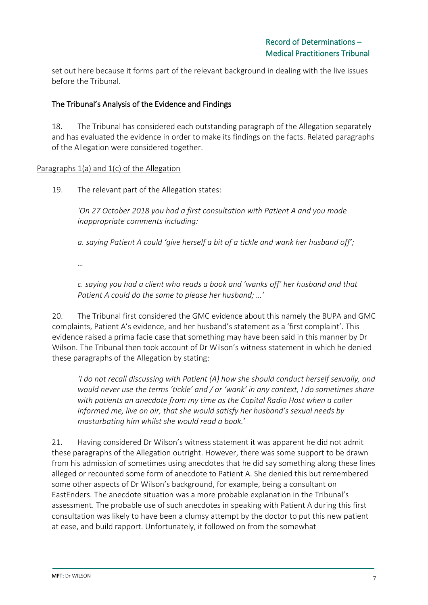set out here because it forms part of the relevant background in dealing with the live issues before the Tribunal.

## The Tribunal's Analysis of the Evidence and Findings

18. The Tribunal has considered each outstanding paragraph of the Allegation separately and has evaluated the evidence in order to make its findings on the facts. Related paragraphs of the Allegation were considered together.

#### Paragraphs 1(a) and 1(c) of the Allegation

19. The relevant part of the Allegation states:

*'On 27 October 2018 you had a first consultation with Patient A and you made inappropriate comments including:*

*a. saying Patient A could 'give herself a bit of a tickle and wank her husband off';*

*…*

*c. saying you had a client who reads a book and 'wanks off' her husband and that Patient A could do the same to please her husband; …'*

20. The Tribunal first considered the GMC evidence about this namely the BUPA and GMC complaints, Patient A's evidence, and her husband's statement as a 'first complaint'. This evidence raised a prima facie case that something may have been said in this manner by Dr Wilson. The Tribunal then took account of Dr Wilson's witness statement in which he denied these paragraphs of the Allegation by stating:

*'I do not recall discussing with Patient (A) how she should conduct herself sexually, and would never use the terms 'tickle' and / or 'wank' in any context, I do sometimes share with patients an anecdote from my time as the Capital Radio Host when a caller informed me, live on air, that she would satisfy her husband's sexual needs by masturbating him whilst she would read a book.*'

21. Having considered Dr Wilson's witness statement it was apparent he did not admit these paragraphs of the Allegation outright. However, there was some support to be drawn from his admission of sometimes using anecdotes that he did say something along these lines alleged or recounted some form of anecdote to Patient A. She denied this but remembered some other aspects of Dr Wilson's background, for example, being a consultant on EastEnders. The anecdote situation was a more probable explanation in the Tribunal's assessment. The probable use of such anecdotes in speaking with Patient A during this first consultation was likely to have been a clumsy attempt by the doctor to put this new patient at ease, and build rapport. Unfortunately, it followed on from the somewhat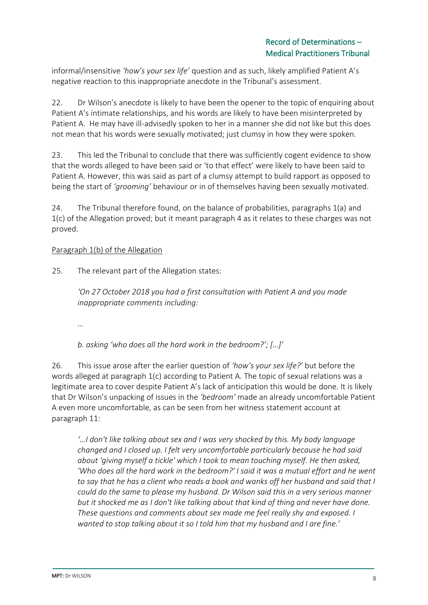informal/insensitive *'how's your sex life'* question and as such, likely amplified Patient A's negative reaction to this inappropriate anecdote in the Tribunal's assessment.

22. Dr Wilson's anecdote is likely to have been the opener to the topic of enquiring about Patient A's intimate relationships, and his words are likely to have been misinterpreted by Patient A. He may have ill-advisedly spoken to her in a manner she did not like but this does not mean that his words were sexually motivated; just clumsy in how they were spoken.

23. This led the Tribunal to conclude that there was sufficiently cogent evidence to show that the words alleged to have been said or 'to that effect' were likely to have been said to Patient A. However, this was said as part of a clumsy attempt to build rapport as opposed to being the start of *'grooming'* behaviour or in of themselves having been sexually motivated.

24. The Tribunal therefore found, on the balance of probabilities, paragraphs 1(a) and 1(c) of the Allegation proved; but it meant paragraph 4 as it relates to these charges was not proved.

#### Paragraph 1(b) of the Allegation

25. The relevant part of the Allegation states:

*'On 27 October 2018 you had a first consultation with Patient A and you made inappropriate comments including:*

*…*

*b. asking 'who does all the hard work in the bedroom?'; […]'*

26. This issue arose after the earlier question of *'how's your sex life?'* but before the words alleged at paragraph 1(c) according to Patient A. The topic of sexual relations was a legitimate area to cover despite Patient A's lack of anticipation this would be done. It is likely that Dr Wilson's unpacking of issues in the *'bedroom'* made an already uncomfortable Patient A even more uncomfortable, as can be seen from her witness statement account at paragraph 11:

*'…I don't like talking about sex and I was very shocked by this. My body language changed and I closed up. I felt very uncomfortable particularly because he had said about 'giving myself a tickle' which I took to mean touching myself. He then asked,*  'Who does all the hard work in the bedroom?' I said it was a mutual effort and he went *to say that he has a client who reads a book and wanks off her husband and said that I could do the same to please my husband. Dr Wilson said this in a very serious manner but it shocked me as I don't like talking about that kind of thing and never have done. These questions and comments about sex made me feel really shy and exposed. I wanted to stop talking about it so I told him that my husband and I are fine.'*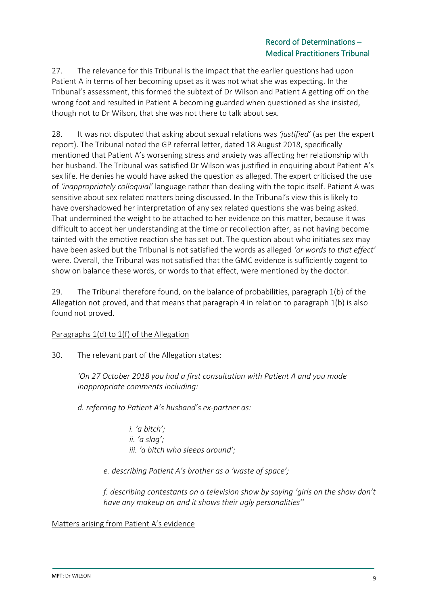27. The relevance for this Tribunal is the impact that the earlier questions had upon Patient A in terms of her becoming upset as it was not what she was expecting. In the Tribunal's assessment, this formed the subtext of Dr Wilson and Patient A getting off on the wrong foot and resulted in Patient A becoming guarded when questioned as she insisted, though not to Dr Wilson, that she was not there to talk about sex.

28. It was not disputed that asking about sexual relations was *'justified'* (as per the expert report). The Tribunal noted the GP referral letter, dated 18 August 2018, specifically mentioned that Patient A's worsening stress and anxiety was affecting her relationship with her husband. The Tribunal was satisfied Dr Wilson was justified in enquiring about Patient A's sex life. He denies he would have asked the question as alleged. The expert criticised the use of *'inappropriately colloquial'* language rather than dealing with the topic itself. Patient A was sensitive about sex related matters being discussed. In the Tribunal's view this is likely to have overshadowed her interpretation of any sex related questions she was being asked. That undermined the weight to be attached to her evidence on this matter, because it was difficult to accept her understanding at the time or recollection after, as not having become tainted with the emotive reaction she has set out. The question about who initiates sex may have been asked but the Tribunal is not satisfied the words as alleged *'or words to that effect'* were. Overall, the Tribunal was not satisfied that the GMC evidence is sufficiently cogent to show on balance these words, or words to that effect, were mentioned by the doctor.

29. The Tribunal therefore found, on the balance of probabilities, paragraph 1(b) of the Allegation not proved, and that means that paragraph 4 in relation to paragraph 1(b) is also found not proved.

#### Paragraphs 1(d) to 1(f) of the Allegation

30. The relevant part of the Allegation states:

*'On 27 October 2018 you had a first consultation with Patient A and you made inappropriate comments including:*

*d. referring to Patient A's husband's ex-partner as:* 

*i. 'a bitch'; ii. 'a slag'; iii. 'a bitch who sleeps around';* 

*e. describing Patient A's brother as a 'waste of space';* 

*f. describing contestants on a television show by saying 'girls on the show don't have any makeup on and it shows their ugly personalities''*

#### Matters arising from Patient A's evidence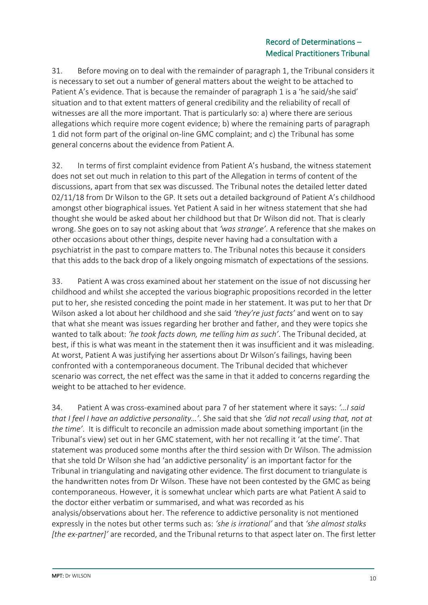31. Before moving on to deal with the remainder of paragraph 1, the Tribunal considers it is necessary to set out a number of general matters about the weight to be attached to Patient A's evidence. That is because the remainder of paragraph 1 is a 'he said/she said' situation and to that extent matters of general credibility and the reliability of recall of witnesses are all the more important. That is particularly so: a) where there are serious allegations which require more cogent evidence; b) where the remaining parts of paragraph 1 did not form part of the original on-line GMC complaint; and c) the Tribunal has some general concerns about the evidence from Patient A.

32. In terms of first complaint evidence from Patient A's husband, the witness statement does not set out much in relation to this part of the Allegation in terms of content of the discussions, apart from that sex was discussed. The Tribunal notes the detailed letter dated 02/11/18 from Dr Wilson to the GP. It sets out a detailed background of Patient A's childhood amongst other biographical issues. Yet Patient A said in her witness statement that she had thought she would be asked about her childhood but that Dr Wilson did not. That is clearly wrong. She goes on to say not asking about that *'was strange'*. A reference that she makes on other occasions about other things, despite never having had a consultation with a psychiatrist in the past to compare matters to. The Tribunal notes this because it considers that this adds to the back drop of a likely ongoing mismatch of expectations of the sessions.

33. Patient A was cross examined about her statement on the issue of not discussing her childhood and whilst she accepted the various biographic propositions recorded in the letter put to her, she resisted conceding the point made in her statement. It was put to her that Dr Wilson asked a lot about her childhood and she said *'they're just facts'* and went on to say that what she meant was issues regarding her brother and father, and they were topics she wanted to talk about: *'he took facts down, me telling him as such'*. The Tribunal decided, at best, if this is what was meant in the statement then it was insufficient and it was misleading. At worst, Patient A was justifying her assertions about Dr Wilson's failings, having been confronted with a contemporaneous document. The Tribunal decided that whichever scenario was correct, the net effect was the same in that it added to concerns regarding the weight to be attached to her evidence.

34. Patient A was cross-examined about para 7 of her statement where it says: *'…I said that I feel I have an addictive personality…'*. She said that she *'did not recall using that, not at the time'*. It is difficult to reconcile an admission made about something important (in the Tribunal's view) set out in her GMC statement, with her not recalling it 'at the time'. That statement was produced some months after the third session with Dr Wilson. The admission that she told Dr Wilson she had 'an addictive personality' is an important factor for the Tribunal in triangulating and navigating other evidence. The first document to triangulate is the handwritten notes from Dr Wilson. These have not been contested by the GMC as being contemporaneous. However, it is somewhat unclear which parts are what Patient A said to the doctor either verbatim or summarised, and what was recorded as his analysis/observations about her. The reference to addictive personality is not mentioned expressly in the notes but other terms such as: *'she is irrational'* and that *'she almost stalks [the ex-partner]'* are recorded, and the Tribunal returns to that aspect later on. The first letter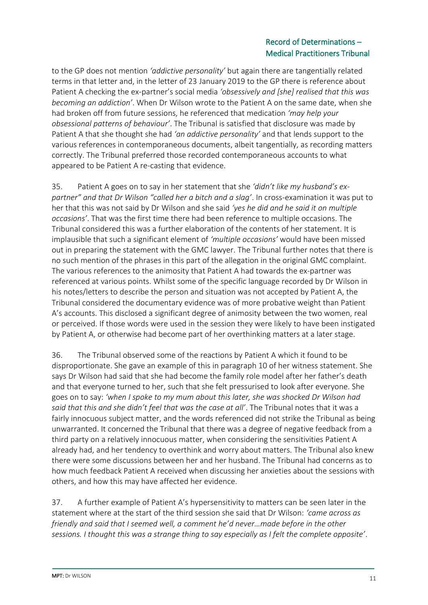to the GP does not mention *'addictive personality'* but again there are tangentially related terms in that letter and, in the letter of 23 January 2019 to the GP there is reference about Patient A checking the ex-partner's social media *'obsessively and [she] realised that this was becoming an addiction'*. When Dr Wilson wrote to the Patient A on the same date, when she had broken off from future sessions, he referenced that medication *'may help your obsessional patterns of behaviour'*. The Tribunal is satisfied that disclosure was made by Patient A that she thought she had *'an addictive personality'* and that lends support to the various references in contemporaneous documents, albeit tangentially, as recording matters correctly. The Tribunal preferred those recorded contemporaneous accounts to what appeared to be Patient A re-casting that evidence.

35. Patient A goes on to say in her statement that she *'didn't like my husband's expartner" and that Dr Wilson "called her a bitch and a slag'*. In cross-examination it was put to her that this was not said by Dr Wilson and she said *'yes he did and he said it on multiple occasions'*. That was the first time there had been reference to multiple occasions. The Tribunal considered this was a further elaboration of the contents of her statement. It is implausible that such a significant element of *'multiple occasions'* would have been missed out in preparing the statement with the GMC lawyer. The Tribunal further notes that there is no such mention of the phrases in this part of the allegation in the original GMC complaint. The various references to the animosity that Patient A had towards the ex-partner was referenced at various points. Whilst some of the specific language recorded by Dr Wilson in his notes/letters to describe the person and situation was not accepted by Patient A, the Tribunal considered the documentary evidence was of more probative weight than Patient A's accounts. This disclosed a significant degree of animosity between the two women, real or perceived. If those words were used in the session they were likely to have been instigated by Patient A, or otherwise had become part of her overthinking matters at a later stage.

36. The Tribunal observed some of the reactions by Patient A which it found to be disproportionate. She gave an example of this in paragraph 10 of her witness statement. She says Dr Wilson had said that she had become the family role model after her father's death and that everyone turned to her, such that she felt pressurised to look after everyone. She goes on to say: *'when I spoke to my mum about this later, she was shocked Dr Wilson had said that this and she didn't feel that was the case at all'*. The Tribunal notes that it was a fairly innocuous subject matter, and the words referenced did not strike the Tribunal as being unwarranted. It concerned the Tribunal that there was a degree of negative feedback from a third party on a relatively innocuous matter, when considering the sensitivities Patient A already had, and her tendency to overthink and worry about matters. The Tribunal also knew there were some discussions between her and her husband. The Tribunal had concerns as to how much feedback Patient A received when discussing her anxieties about the sessions with others, and how this may have affected her evidence.

37. A further example of Patient A's hypersensitivity to matters can be seen later in the statement where at the start of the third session she said that Dr Wilson: *'came across as friendly and said that I seemed well, a comment he'd never…made before in the other sessions. I thought this was a strange thing to say especially as I felt the complete opposite'*.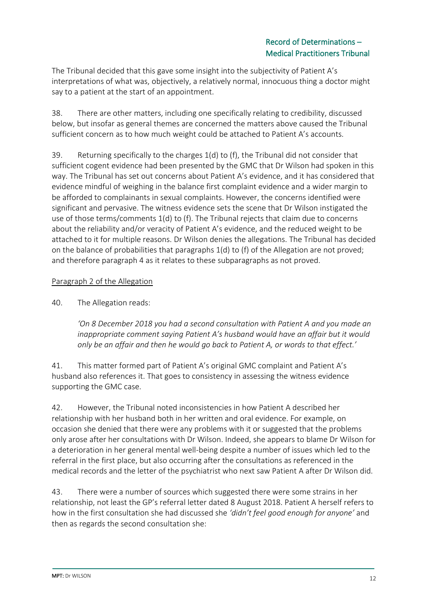The Tribunal decided that this gave some insight into the subjectivity of Patient A's interpretations of what was, objectively, a relatively normal, innocuous thing a doctor might say to a patient at the start of an appointment.

38. There are other matters, including one specifically relating to credibility, discussed below, but insofar as general themes are concerned the matters above caused the Tribunal sufficient concern as to how much weight could be attached to Patient A's accounts.

39. Returning specifically to the charges 1(d) to (f), the Tribunal did not consider that sufficient cogent evidence had been presented by the GMC that Dr Wilson had spoken in this way. The Tribunal has set out concerns about Patient A's evidence, and it has considered that evidence mindful of weighing in the balance first complaint evidence and a wider margin to be afforded to complainants in sexual complaints. However, the concerns identified were significant and pervasive. The witness evidence sets the scene that Dr Wilson instigated the use of those terms/comments 1(d) to (f). The Tribunal rejects that claim due to concerns about the reliability and/or veracity of Patient A's evidence, and the reduced weight to be attached to it for multiple reasons. Dr Wilson denies the allegations. The Tribunal has decided on the balance of probabilities that paragraphs 1(d) to (f) of the Allegation are not proved; and therefore paragraph 4 as it relates to these subparagraphs as not proved.

## Paragraph 2 of the Allegation

40. The Allegation reads:

*'On 8 December 2018 you had a second consultation with Patient A and you made an inappropriate comment saying Patient A's husband would have an affair but it would only be an affair and then he would go back to Patient A, or words to that effect.'*

41. This matter formed part of Patient A's original GMC complaint and Patient A's husband also references it. That goes to consistency in assessing the witness evidence supporting the GMC case.

42. However, the Tribunal noted inconsistencies in how Patient A described her relationship with her husband both in her written and oral evidence. For example, on occasion she denied that there were any problems with it or suggested that the problems only arose after her consultations with Dr Wilson. Indeed, she appears to blame Dr Wilson for a deterioration in her general mental well-being despite a number of issues which led to the referral in the first place, but also occurring after the consultations as referenced in the medical records and the letter of the psychiatrist who next saw Patient A after Dr Wilson did.

43. There were a number of sources which suggested there were some strains in her relationship, not least the GP's referral letter dated 8 August 2018. Patient A herself refers to how in the first consultation she had discussed she *'didn't feel good enough for anyone'* and then as regards the second consultation she: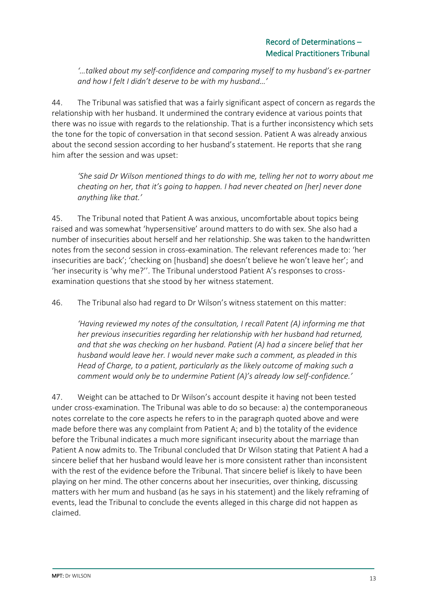*'…talked about my self-confidence and comparing myself to my husband's ex-partner and how I felt I didn't deserve to be with my husband…'*

44. The Tribunal was satisfied that was a fairly significant aspect of concern as regards the relationship with her husband. It undermined the contrary evidence at various points that there was no issue with regards to the relationship. That is a further inconsistency which sets the tone for the topic of conversation in that second session. Patient A was already anxious about the second session according to her husband's statement. He reports that she rang him after the session and was upset:

*'She said Dr Wilson mentioned things to do with me, telling her not to worry about me cheating on her, that it's going to happen. I had never cheated on [her] never done anything like that.'*

45. The Tribunal noted that Patient A was anxious, uncomfortable about topics being raised and was somewhat 'hypersensitive' around matters to do with sex. She also had a number of insecurities about herself and her relationship. She was taken to the handwritten notes from the second session in cross-examination. The relevant references made to: 'her insecurities are back'; 'checking on [husband] she doesn't believe he won't leave her'; and 'her insecurity is 'why me?''. The Tribunal understood Patient A's responses to crossexamination questions that she stood by her witness statement.

46. The Tribunal also had regard to Dr Wilson's witness statement on this matter:

*'Having reviewed my notes of the consultation, I recall Patent (A) informing me that her previous insecurities regarding her relationship with her husband had returned, and that she was checking on her husband. Patient (A) had a sincere belief that her husband would leave her. I would never make such a comment, as pleaded in this Head of Charge, to a patient, particularly as the likely outcome of making such a comment would only be to undermine Patient (A)'s already low self-confidence.'*

47. Weight can be attached to Dr Wilson's account despite it having not been tested under cross-examination. The Tribunal was able to do so because: a) the contemporaneous notes correlate to the core aspects he refers to in the paragraph quoted above and were made before there was any complaint from Patient A; and b) the totality of the evidence before the Tribunal indicates a much more significant insecurity about the marriage than Patient A now admits to. The Tribunal concluded that Dr Wilson stating that Patient A had a sincere belief that her husband would leave her is more consistent rather than inconsistent with the rest of the evidence before the Tribunal. That sincere belief is likely to have been playing on her mind. The other concerns about her insecurities, over thinking, discussing matters with her mum and husband (as he says in his statement) and the likely reframing of events, lead the Tribunal to conclude the events alleged in this charge did not happen as claimed.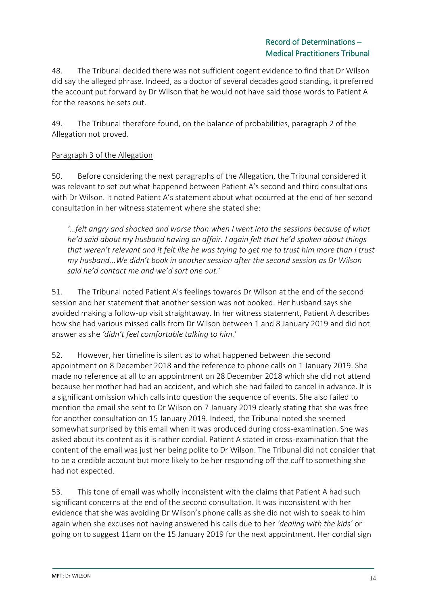48. The Tribunal decided there was not sufficient cogent evidence to find that Dr Wilson did say the alleged phrase. Indeed, as a doctor of several decades good standing, it preferred the account put forward by Dr Wilson that he would not have said those words to Patient A for the reasons he sets out.

49. The Tribunal therefore found, on the balance of probabilities, paragraph 2 of the Allegation not proved.

## Paragraph 3 of the Allegation

50. Before considering the next paragraphs of the Allegation, the Tribunal considered it was relevant to set out what happened between Patient A's second and third consultations with Dr Wilson. It noted Patient A's statement about what occurred at the end of her second consultation in her witness statement where she stated she:

*'…felt angry and shocked and worse than when I went into the sessions because of what he'd said about my husband having an affair. I again felt that he'd spoken about things that weren't relevant and it felt like he was trying to get me to trust him more than I trust my husband...We didn't book in another session after the second session as Dr Wilson said he'd contact me and we'd sort one out.'*

51. The Tribunal noted Patient A's feelings towards Dr Wilson at the end of the second session and her statement that another session was not booked. Her husband says she avoided making a follow-up visit straightaway. In her witness statement, Patient A describes how she had various missed calls from Dr Wilson between 1 and 8 January 2019 and did not answer as she *'didn't feel comfortable talking to him.*'

52. However, her timeline is silent as to what happened between the second appointment on 8 December 2018 and the reference to phone calls on 1 January 2019. She made no reference at all to an appointment on 28 December 2018 which she did not attend because her mother had had an accident, and which she had failed to cancel in advance. It is a significant omission which calls into question the sequence of events. She also failed to mention the email she sent to Dr Wilson on 7 January 2019 clearly stating that she was free for another consultation on 15 January 2019. Indeed, the Tribunal noted she seemed somewhat surprised by this email when it was produced during cross-examination. She was asked about its content as it is rather cordial. Patient A stated in cross-examination that the content of the email was just her being polite to Dr Wilson. The Tribunal did not consider that to be a credible account but more likely to be her responding off the cuff to something she had not expected.

53. This tone of email was wholly inconsistent with the claims that Patient A had such significant concerns at the end of the second consultation. It was inconsistent with her evidence that she was avoiding Dr Wilson's phone calls as she did not wish to speak to him again when she excuses not having answered his calls due to her *'dealing with the kids'* or going on to suggest 11am on the 15 January 2019 for the next appointment. Her cordial sign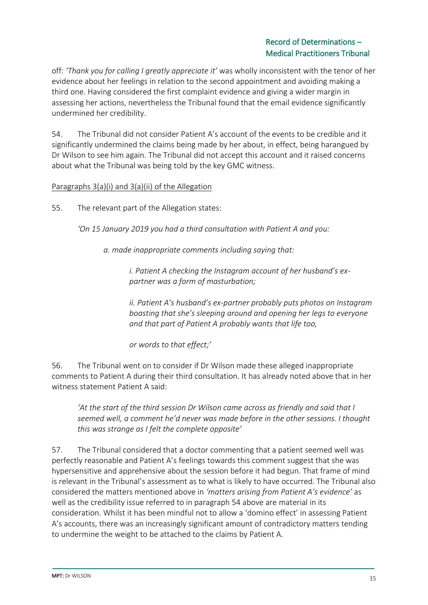off: *'Thank you for calling I greatly appreciate it'* was wholly inconsistent with the tenor of her evidence about her feelings in relation to the second appointment and avoiding making a third one. Having considered the first complaint evidence and giving a wider margin in assessing her actions, nevertheless the Tribunal found that the email evidence significantly undermined her credibility.

54. The Tribunal did not consider Patient A's account of the events to be credible and it significantly undermined the claims being made by her about, in effect, being harangued by Dr Wilson to see him again. The Tribunal did not accept this account and it raised concerns about what the Tribunal was being told by the key GMC witness.

#### Paragraphs 3(a)(i) and 3(a)(ii) of the Allegation

55. The relevant part of the Allegation states:

*'On 15 January 2019 you had a third consultation with Patient A and you:* 

*a. made inappropriate comments including saying that:* 

*i. Patient A checking the Instagram account of her husband's expartner was a form of masturbation;*

*ii. Patient A's husband's ex-partner probably puts photos on Instagram boasting that she's sleeping around and opening her legs to everyone and that part of Patient A probably wants that life too,* 

*or words to that effect;'*

56. The Tribunal went on to consider if Dr Wilson made these alleged inappropriate comments to Patient A during their third consultation. It has already noted above that in her witness statement Patient A said:

*'At the start of the third session Dr Wilson came across as friendly and said that I seemed well, a comment he'd never was made before in the other sessions. I thought this was strange as I felt the complete opposite'*

57. The Tribunal considered that a doctor commenting that a patient seemed well was perfectly reasonable and Patient A's feelings towards this comment suggest that she was hypersensitive and apprehensive about the session before it had begun. That frame of mind is relevant in the Tribunal's assessment as to what is likely to have occurred. The Tribunal also considered the matters mentioned above in *'matters arising from Patient A's evidence'* as well as the credibility issue referred to in paragraph 54 above are material in its consideration. Whilst it has been mindful not to allow a 'domino effect' in assessing Patient A's accounts, there was an increasingly significant amount of contradictory matters tending to undermine the weight to be attached to the claims by Patient A.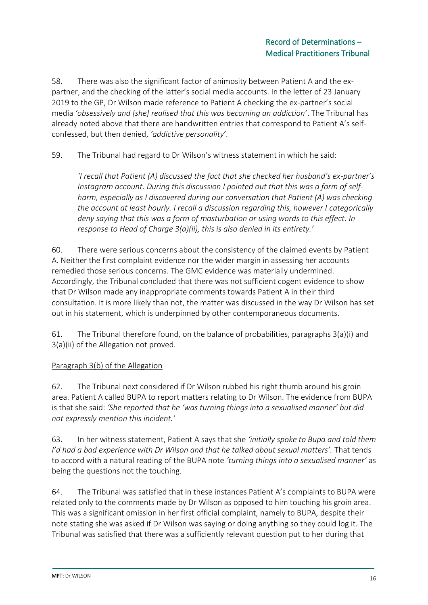58. There was also the significant factor of animosity between Patient A and the expartner, and the checking of the latter's social media accounts. In the letter of 23 January 2019 to the GP, Dr Wilson made reference to Patient A checking the ex-partner's social media *'obsessively and [she] realised that this was becoming an addiction'*. The Tribunal has already noted above that there are handwritten entries that correspond to Patient A's selfconfessed, but then denied, *'addictive personality'*.

59. The Tribunal had regard to Dr Wilson's witness statement in which he said:

*'I recall that Patient (A) discussed the fact that she checked her husband's ex-partner's Instagram account. During this discussion I pointed out that this was a form of selfharm, especially as I discovered during our conversation that Patient (A) was checking the account at least hourly. I recall a discussion regarding this, however I categorically deny saying that this was a form of masturbation or using words to this effect. In response to Head of Charge 3(a)(ii), this is also denied in its entirety.'*

60. There were serious concerns about the consistency of the claimed events by Patient A. Neither the first complaint evidence nor the wider margin in assessing her accounts remedied those serious concerns. The GMC evidence was materially undermined. Accordingly, the Tribunal concluded that there was not sufficient cogent evidence to show that Dr Wilson made any inappropriate comments towards Patient A in their third consultation. It is more likely than not, the matter was discussed in the way Dr Wilson has set out in his statement, which is underpinned by other contemporaneous documents.

61. The Tribunal therefore found, on the balance of probabilities, paragraphs 3(a)(i) and 3(a)(ii) of the Allegation not proved.

## Paragraph 3(b) of the Allegation

62. The Tribunal next considered if Dr Wilson rubbed his right thumb around his groin area. Patient A called BUPA to report matters relating to Dr Wilson. The evidence from BUPA is that she said: *'She reported that he 'was turning things into a sexualised manner' but did not expressly mention this incident.'*

63. In her witness statement, Patient A says that she *'initially spoke to Bupa and told them I'd had a bad experience with Dr Wilson and that he talked about sexual matters'*. That tends to accord with a natural reading of the BUPA note *'turning things into a sexualised manner'* as being the questions not the touching.

64. The Tribunal was satisfied that in these instances Patient A's complaints to BUPA were related only to the comments made by Dr Wilson as opposed to him touching his groin area. This was a significant omission in her first official complaint, namely to BUPA, despite their note stating she was asked if Dr Wilson was saying or doing anything so they could log it. The Tribunal was satisfied that there was a sufficiently relevant question put to her during that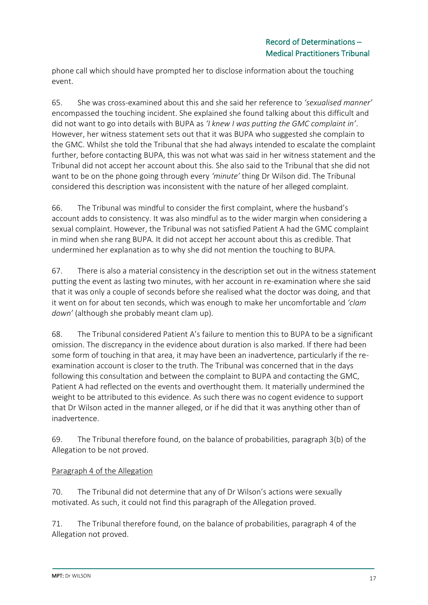phone call which should have prompted her to disclose information about the touching event.

65. She was cross-examined about this and she said her reference to *'sexualised manner'* encompassed the touching incident. She explained she found talking about this difficult and did not want to go into details with BUPA as *'I knew I was putting the GMC complaint in'*. However, her witness statement sets out that it was BUPA who suggested she complain to the GMC. Whilst she told the Tribunal that she had always intended to escalate the complaint further, before contacting BUPA, this was not what was said in her witness statement and the Tribunal did not accept her account about this. She also said to the Tribunal that she did not want to be on the phone going through every *'minute'* thing Dr Wilson did. The Tribunal considered this description was inconsistent with the nature of her alleged complaint.

66. The Tribunal was mindful to consider the first complaint, where the husband's account adds to consistency. It was also mindful as to the wider margin when considering a sexual complaint. However, the Tribunal was not satisfied Patient A had the GMC complaint in mind when she rang BUPA. It did not accept her account about this as credible. That undermined her explanation as to why she did not mention the touching to BUPA.

67. There is also a material consistency in the description set out in the witness statement putting the event as lasting two minutes, with her account in re-examination where she said that it was only a couple of seconds before she realised what the doctor was doing, and that it went on for about ten seconds, which was enough to make her uncomfortable and *'clam down'* (although she probably meant clam up).

68. The Tribunal considered Patient A's failure to mention this to BUPA to be a significant omission. The discrepancy in the evidence about duration is also marked. If there had been some form of touching in that area, it may have been an inadvertence, particularly if the reexamination account is closer to the truth. The Tribunal was concerned that in the days following this consultation and between the complaint to BUPA and contacting the GMC, Patient A had reflected on the events and overthought them. It materially undermined the weight to be attributed to this evidence. As such there was no cogent evidence to support that Dr Wilson acted in the manner alleged, or if he did that it was anything other than of inadvertence.

69. The Tribunal therefore found, on the balance of probabilities, paragraph 3(b) of the Allegation to be not proved.

## Paragraph 4 of the Allegation

70. The Tribunal did not determine that any of Dr Wilson's actions were sexually motivated. As such, it could not find this paragraph of the Allegation proved.

71. The Tribunal therefore found, on the balance of probabilities, paragraph 4 of the Allegation not proved.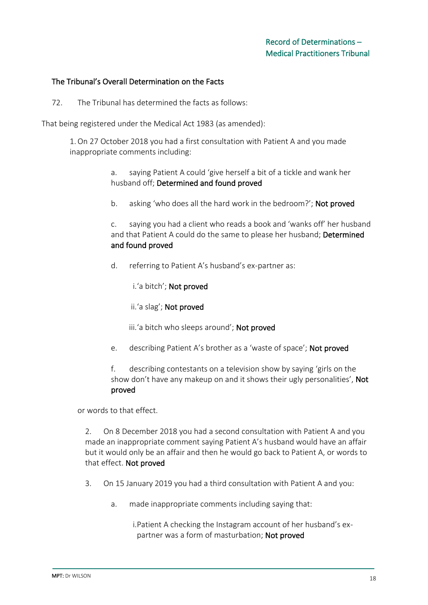#### The Tribunal's Overall Determination on the Facts

72. The Tribunal has determined the facts as follows:

That being registered under the Medical Act 1983 (as amended):

1.On 27 October 2018 you had a first consultation with Patient A and you made inappropriate comments including:

> a. saying Patient A could 'give herself a bit of a tickle and wank her husband off; Determined and found proved

b. asking 'who does all the hard work in the bedroom?'; Not proved

c. saying you had a client who reads a book and 'wanks off' her husband and that Patient A could do the same to please her husband; Determined and found proved

d. referring to Patient A's husband's ex-partner as:

i.'a bitch'; Not proved

- ii.'a slag'; Not proved
- iii.'a bitch who sleeps around'; Not proved
- e. describing Patient A's brother as a 'waste of space'; Not proved

f. describing contestants on a television show by saying 'girls on the show don't have any makeup on and it shows their ugly personalities', Not proved

or words to that effect.

2. On 8 December 2018 you had a second consultation with Patient A and you made an inappropriate comment saying Patient A's husband would have an affair but it would only be an affair and then he would go back to Patient A, or words to that effect. Not proved

- 3. On 15 January 2019 you had a third consultation with Patient A and you:
	- a. made inappropriate comments including saying that:

i.Patient A checking the Instagram account of her husband's expartner was a form of masturbation; Not proved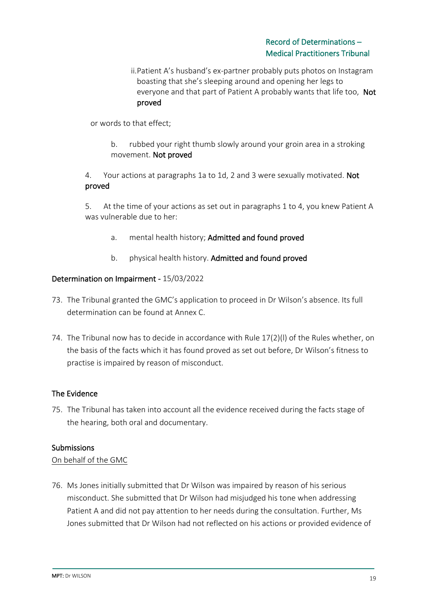ii.Patient A's husband's ex-partner probably puts photos on Instagram boasting that she's sleeping around and opening her legs to everyone and that part of Patient A probably wants that life too, Not proved

or words to that effect;

b. rubbed your right thumb slowly around your groin area in a stroking movement. Not proved

4. Your actions at paragraphs 1a to 1d, 2 and 3 were sexually motivated. Not proved

5. At the time of your actions as set out in paragraphs 1 to 4, you knew Patient A was vulnerable due to her:

- a. mental health history; Admitted and found proved
- b. physical health history. Admitted and found proved

#### Determination on Impairment - 15/03/2022

- 73. The Tribunal granted the GMC's application to proceed in Dr Wilson's absence. Its full determination can be found at Annex C.
- 74. The Tribunal now has to decide in accordance with Rule 17(2)(l) of the Rules whether, on the basis of the facts which it has found proved as set out before, Dr Wilson's fitness to practise is impaired by reason of misconduct.

#### The Evidence

75. The Tribunal has taken into account all the evidence received during the facts stage of the hearing, both oral and documentary.

#### Submissions

#### On behalf of the GMC

76. Ms Jones initially submitted that Dr Wilson was impaired by reason of his serious misconduct. She submitted that Dr Wilson had misjudged his tone when addressing Patient A and did not pay attention to her needs during the consultation. Further, Ms Jones submitted that Dr Wilson had not reflected on his actions or provided evidence of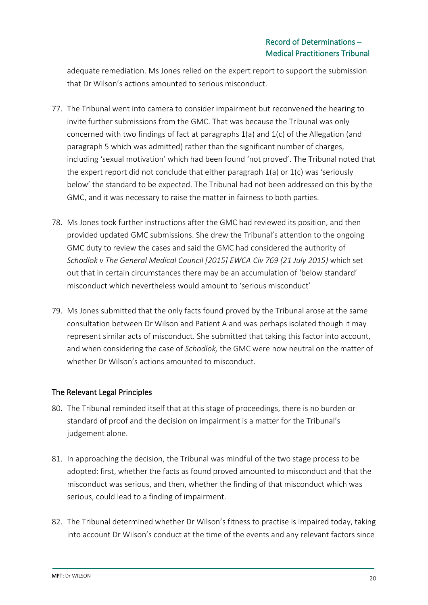adequate remediation. Ms Jones relied on the expert report to support the submission that Dr Wilson's actions amounted to serious misconduct.

- 77. The Tribunal went into camera to consider impairment but reconvened the hearing to invite further submissions from the GMC. That was because the Tribunal was only concerned with two findings of fact at paragraphs 1(a) and 1(c) of the Allegation (and paragraph 5 which was admitted) rather than the significant number of charges, including 'sexual motivation' which had been found 'not proved'. The Tribunal noted that the expert report did not conclude that either paragraph 1(a) or 1(c) was 'seriously below' the standard to be expected. The Tribunal had not been addressed on this by the GMC, and it was necessary to raise the matter in fairness to both parties.
- 78. Ms Jones took further instructions after the GMC had reviewed its position, and then provided updated GMC submissions. She drew the Tribunal's attention to the ongoing GMC duty to review the cases and said the GMC had considered the authority of *Schodlok v The General Medical Council [2015] EWCA Civ 769 (21 July 2015)* which set out that in certain circumstances there may be an accumulation of 'below standard' misconduct which nevertheless would amount to 'serious misconduct'
- 79. Ms Jones submitted that the only facts found proved by the Tribunal arose at the same consultation between Dr Wilson and Patient A and was perhaps isolated though it may represent similar acts of misconduct. She submitted that taking this factor into account, and when considering the case of *Schodlok,* the GMC were now neutral on the matter of whether Dr Wilson's actions amounted to misconduct.

#### The Relevant Legal Principles

- 80. The Tribunal reminded itself that at this stage of proceedings, there is no burden or standard of proof and the decision on impairment is a matter for the Tribunal's judgement alone.
- 81. In approaching the decision, the Tribunal was mindful of the two stage process to be adopted: first, whether the facts as found proved amounted to misconduct and that the misconduct was serious, and then, whether the finding of that misconduct which was serious, could lead to a finding of impairment.
- 82. The Tribunal determined whether Dr Wilson's fitness to practise is impaired today, taking into account Dr Wilson's conduct at the time of the events and any relevant factors since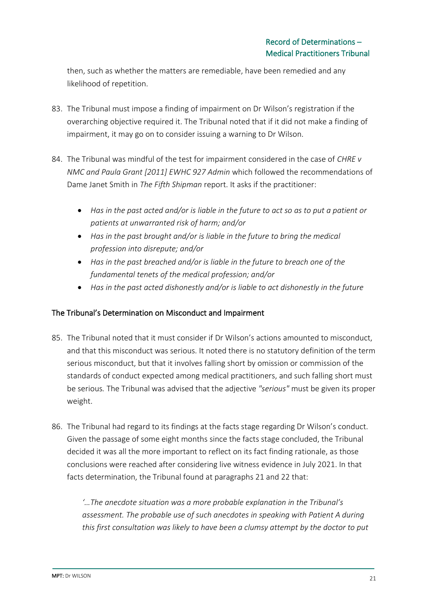then, such as whether the matters are remediable, have been remedied and any likelihood of repetition.

- 83. The Tribunal must impose a finding of impairment on Dr Wilson's registration if the overarching objective required it. The Tribunal noted that if it did not make a finding of impairment, it may go on to consider issuing a warning to Dr Wilson.
- 84. The Tribunal was mindful of the test for impairment considered in the case of *CHRE v NMC and Paula Grant [2011] EWHC 927 Admin* which followed the recommendations of Dame Janet Smith in *The Fifth Shipman* report. It asks if the practitioner:
	- *Has in the past acted and/or is liable in the future to act so as to put a patient or patients at unwarranted risk of harm; and/or*
	- *Has in the past brought and/or is liable in the future to bring the medical profession into disrepute; and/or*
	- *Has in the past breached and/or is liable in the future to breach one of the fundamental tenets of the medical profession; and/or*
	- *Has in the past acted dishonestly and/or is liable to act dishonestly in the future*

## The Tribunal's Determination on Misconduct and Impairment

- 85. The Tribunal noted that it must consider if Dr Wilson's actions amounted to misconduct, and that this misconduct was serious. It noted there is no statutory definition of the term serious misconduct, but that it involves falling short by omission or commission of the standards of conduct expected among medical practitioners, and such falling short must be serious*.* The Tribunal was advised that the adjective *"serious"* must be given its proper weight.
- 86. The Tribunal had regard to its findings at the facts stage regarding Dr Wilson's conduct. Given the passage of some eight months since the facts stage concluded, the Tribunal decided it was all the more important to reflect on its fact finding rationale, as those conclusions were reached after considering live witness evidence in July 2021. In that facts determination, the Tribunal found at paragraphs 21 and 22 that:

*'…The anecdote situation was a more probable explanation in the Tribunal's assessment. The probable use of such anecdotes in speaking with Patient A during this first consultation was likely to have been a clumsy attempt by the doctor to put*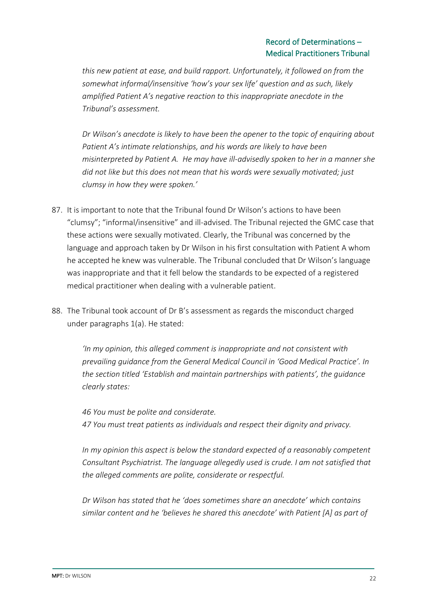*this new patient at ease, and build rapport. Unfortunately, it followed on from the somewhat informal/insensitive 'how's your sex life' question and as such, likely amplified Patient A's negative reaction to this inappropriate anecdote in the Tribunal's assessment.* 

*Dr Wilson's anecdote is likely to have been the opener to the topic of enquiring about Patient A's intimate relationships, and his words are likely to have been misinterpreted by Patient A. He may have ill-advisedly spoken to her in a manner she did not like but this does not mean that his words were sexually motivated; just clumsy in how they were spoken.'* 

- 87. It is important to note that the Tribunal found Dr Wilson's actions to have been "clumsy"; "informal/insensitive" and ill-advised. The Tribunal rejected the GMC case that these actions were sexually motivated. Clearly, the Tribunal was concerned by the language and approach taken by Dr Wilson in his first consultation with Patient A whom he accepted he knew was vulnerable. The Tribunal concluded that Dr Wilson's language was inappropriate and that it fell below the standards to be expected of a registered medical practitioner when dealing with a vulnerable patient.
- 88. The Tribunal took account of Dr B's assessment as regards the misconduct charged under paragraphs 1(a). He stated:

*'In my opinion, this alleged comment is inappropriate and not consistent with prevailing guidance from the General Medical Council in 'Good Medical Practice'. In the section titled 'Establish and maintain partnerships with patients', the guidance clearly states:* 

*46 You must be polite and considerate. 47 You must treat patients as individuals and respect their dignity and privacy.*

*In my opinion this aspect is below the standard expected of a reasonably competent Consultant Psychiatrist. The language allegedly used is crude. I am not satisfied that the alleged comments are polite, considerate or respectful.* 

*Dr Wilson has stated that he 'does sometimes share an anecdote' which contains similar content and he 'believes he shared this anecdote' with Patient [A] as part of*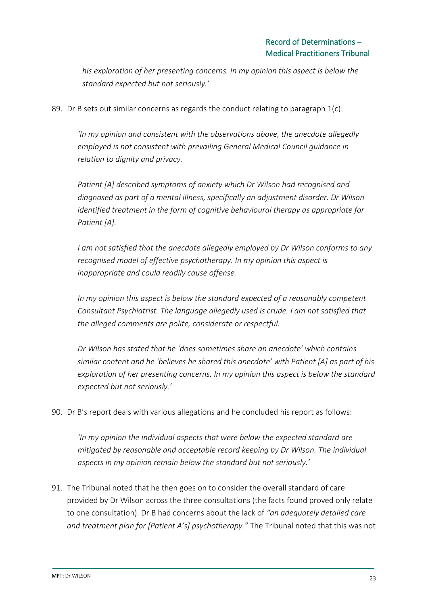*his exploration of her presenting concerns. In my opinion this aspect is below the standard expected but not seriously.'* 

89. Dr B sets out similar concerns as regards the conduct relating to paragraph  $1(c)$ :

*'In my opinion and consistent with the observations above, the anecdote allegedly employed is not consistent with prevailing General Medical Council guidance in relation to dignity and privacy.* 

*Patient [A] described symptoms of anxiety which Dr Wilson had recognised and diagnosed as part of a mental illness, specifically an adjustment disorder. Dr Wilson identified treatment in the form of cognitive behavioural therapy as appropriate for Patient [A].* 

*I am not satisfied that the anecdote allegedly employed by Dr Wilson conforms to any recognised model of effective psychotherapy. In my opinion this aspect is inappropriate and could readily cause offense.* 

*In my opinion this aspect is below the standard expected of a reasonably competent Consultant Psychiatrist. The language allegedly used is crude. I am not satisfied that the alleged comments are polite, considerate or respectful.* 

*Dr Wilson has stated that he 'does sometimes share an anecdote' which contains similar content and he 'believes he shared this anecdote' with Patient [A] as part of his exploration of her presenting concerns. In my opinion this aspect is below the standard expected but not seriously.'*

90. Dr B's report deals with various allegations and he concluded his report as follows:

*'In my opinion the individual aspects that were below the expected standard are mitigated by reasonable and acceptable record keeping by Dr Wilson. The individual aspects in my opinion remain below the standard but not seriously.'*

91. The Tribunal noted that he then goes on to consider the overall standard of care provided by Dr Wilson across the three consultations (the facts found proved only relate to one consultation). Dr B had concerns about the lack of *"an adequately detailed care and treatment plan for [Patient A's] psychotherapy."* The Tribunal noted that this was not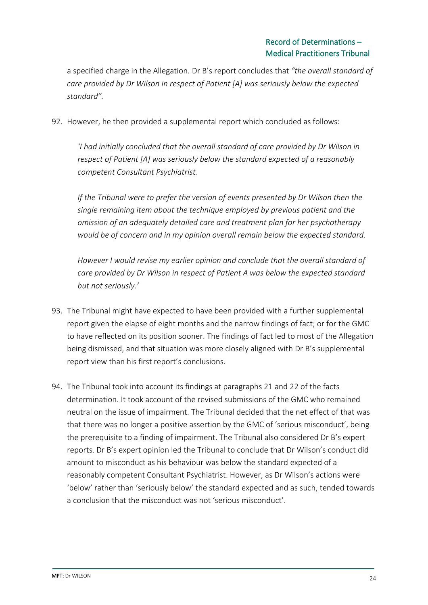a specified charge in the Allegation. Dr B's report concludes that *"the overall standard of care provided by Dr Wilson in respect of Patient [A] was seriously below the expected standard".*

92. However, he then provided a supplemental report which concluded as follows:

*'I had initially concluded that the overall standard of care provided by Dr Wilson in respect of Patient [A] was seriously below the standard expected of a reasonably competent Consultant Psychiatrist.* 

*If the Tribunal were to prefer the version of events presented by Dr Wilson then the single remaining item about the technique employed by previous patient and the omission of an adequately detailed care and treatment plan for her psychotherapy would be of concern and in my opinion overall remain below the expected standard.* 

*However I would revise my earlier opinion and conclude that the overall standard of care provided by Dr Wilson in respect of Patient A was below the expected standard but not seriously.'* 

- 93. The Tribunal might have expected to have been provided with a further supplemental report given the elapse of eight months and the narrow findings of fact; or for the GMC to have reflected on its position sooner. The findings of fact led to most of the Allegation being dismissed, and that situation was more closely aligned with Dr B's supplemental report view than his first report's conclusions.
- 94. The Tribunal took into account its findings at paragraphs 21 and 22 of the facts determination. It took account of the revised submissions of the GMC who remained neutral on the issue of impairment. The Tribunal decided that the net effect of that was that there was no longer a positive assertion by the GMC of 'serious misconduct', being the prerequisite to a finding of impairment. The Tribunal also considered Dr B's expert reports. Dr B's expert opinion led the Tribunal to conclude that Dr Wilson's conduct did amount to misconduct as his behaviour was below the standard expected of a reasonably competent Consultant Psychiatrist. However, as Dr Wilson's actions were 'below' rather than 'seriously below' the standard expected and as such, tended towards a conclusion that the misconduct was not 'serious misconduct'.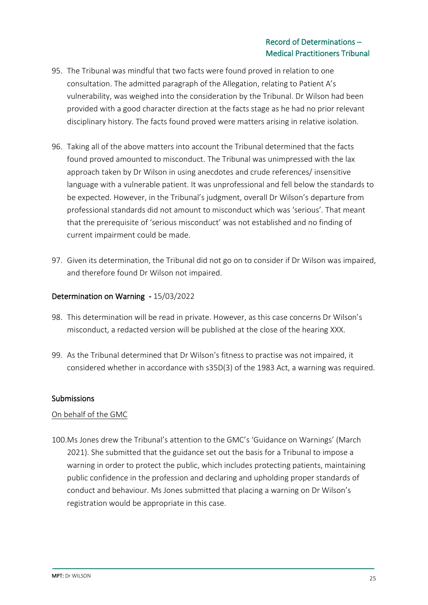- 95. The Tribunal was mindful that two facts were found proved in relation to one consultation. The admitted paragraph of the Allegation, relating to Patient A's vulnerability, was weighed into the consideration by the Tribunal. Dr Wilson had been provided with a good character direction at the facts stage as he had no prior relevant disciplinary history. The facts found proved were matters arising in relative isolation.
- 96. Taking all of the above matters into account the Tribunal determined that the facts found proved amounted to misconduct. The Tribunal was unimpressed with the lax approach taken by Dr Wilson in using anecdotes and crude references/ insensitive language with a vulnerable patient. It was unprofessional and fell below the standards to be expected. However, in the Tribunal's judgment, overall Dr Wilson's departure from professional standards did not amount to misconduct which was 'serious'. That meant that the prerequisite of 'serious misconduct' was not established and no finding of current impairment could be made.
- 97. Given its determination, the Tribunal did not go on to consider if Dr Wilson was impaired, and therefore found Dr Wilson not impaired.

## Determination on Warning - 15/03/2022

- 98. This determination will be read in private. However, as this case concerns Dr Wilson's misconduct, a redacted version will be published at the close of the hearing XXX.
- 99. As the Tribunal determined that Dr Wilson's fitness to practise was not impaired, it considered whether in accordance with s35D(3) of the 1983 Act, a warning was required.

#### **Submissions**

#### On behalf of the GMC

100.Ms Jones drew the Tribunal's attention to the GMC's 'Guidance on Warnings' (March 2021). She submitted that the guidance set out the basis for a Tribunal to impose a warning in order to protect the public, which includes protecting patients, maintaining public confidence in the profession and declaring and upholding proper standards of conduct and behaviour. Ms Jones submitted that placing a warning on Dr Wilson's registration would be appropriate in this case.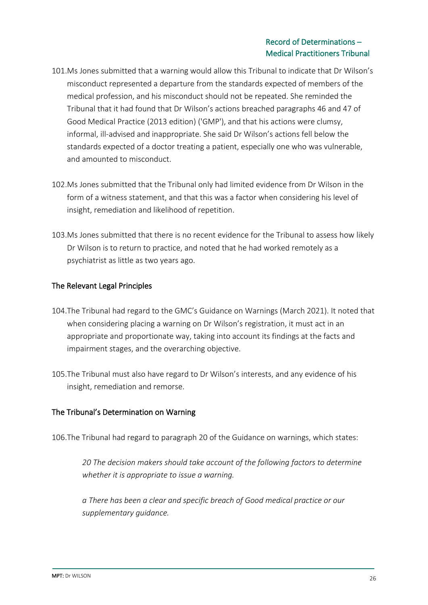- 101.Ms Jones submitted that a warning would allow this Tribunal to indicate that Dr Wilson's misconduct represented a departure from the standards expected of members of the medical profession, and his misconduct should not be repeated. She reminded the Tribunal that it had found that Dr Wilson's actions breached paragraphs 46 and 47 of Good Medical Practice (2013 edition) ('GMP'), and that his actions were clumsy, informal, ill-advised and inappropriate. She said Dr Wilson's actions fell below the standards expected of a doctor treating a patient, especially one who was vulnerable, and amounted to misconduct.
- 102.Ms Jones submitted that the Tribunal only had limited evidence from Dr Wilson in the form of a witness statement, and that this was a factor when considering his level of insight, remediation and likelihood of repetition.
- 103.Ms Jones submitted that there is no recent evidence for the Tribunal to assess how likely Dr Wilson is to return to practice, and noted that he had worked remotely as a psychiatrist as little as two years ago.

#### The Relevant Legal Principles

- 104.The Tribunal had regard to the GMC's Guidance on Warnings (March 2021). It noted that when considering placing a warning on Dr Wilson's registration, it must act in an appropriate and proportionate way, taking into account its findings at the facts and impairment stages, and the overarching objective.
- 105.The Tribunal must also have regard to Dr Wilson's interests, and any evidence of his insight, remediation and remorse.

#### The Tribunal's Determination on Warning

106.The Tribunal had regard to paragraph 20 of the Guidance on warnings, which states:

*20 The decision makers should take account of the following factors to determine whether it is appropriate to issue a warning.* 

*a There has been a clear and specific breach of Good medical practice or our supplementary guidance.*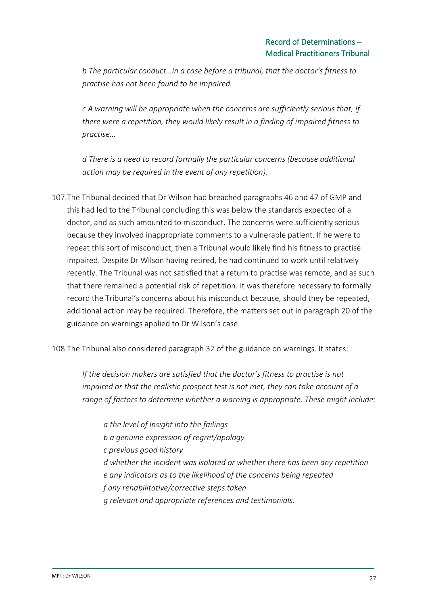*b The particular conduct…in a case before a tribunal, that the doctor's fitness to practise has not been found to be impaired.* 

*c A warning will be appropriate when the concerns are sufficiently serious that, if there were a repetition, they would likely result in a finding of impaired fitness to practise...* 

*d There is a need to record formally the particular concerns (because additional action may be required in the event of any repetition).* 

107.The Tribunal decided that Dr Wilson had breached paragraphs 46 and 47 of GMP and this had led to the Tribunal concluding this was below the standards expected of a doctor, and as such amounted to misconduct. The concerns were sufficiently serious because they involved inappropriate comments to a vulnerable patient. If he were to repeat this sort of misconduct, then a Tribunal would likely find his fitness to practise impaired. Despite Dr Wilson having retired, he had continued to work until relatively recently. The Tribunal was not satisfied that a return to practise was remote, and as such that there remained a potential risk of repetition. It was therefore necessary to formally record the Tribunal's concerns about his misconduct because, should they be repeated, additional action may be required. Therefore, the matters set out in paragraph 20 of the guidance on warnings applied to Dr Wilson's case.

108.The Tribunal also considered paragraph 32 of the guidance on warnings. It states:

*If the decision makers are satisfied that the doctor's fitness to practise is not impaired or that the realistic prospect test is not met, they can take account of a range of factors to determine whether a warning is appropriate. These might include:* 

*a the level of insight into the failings b a genuine expression of regret/apology c previous good history d whether the incident was isolated or whether there has been any repetition e any indicators as to the likelihood of the concerns being repeated f any rehabilitative/corrective steps taken g relevant and appropriate references and testimonials.*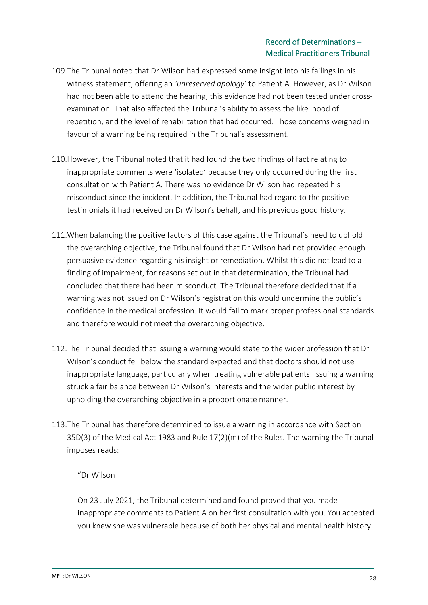- 109.The Tribunal noted that Dr Wilson had expressed some insight into his failings in his witness statement, offering an *'unreserved apology'* to Patient A. However, as Dr Wilson had not been able to attend the hearing, this evidence had not been tested under crossexamination. That also affected the Tribunal's ability to assess the likelihood of repetition, and the level of rehabilitation that had occurred. Those concerns weighed in favour of a warning being required in the Tribunal's assessment.
- 110.However, the Tribunal noted that it had found the two findings of fact relating to inappropriate comments were 'isolated' because they only occurred during the first consultation with Patient A. There was no evidence Dr Wilson had repeated his misconduct since the incident. In addition, the Tribunal had regard to the positive testimonials it had received on Dr Wilson's behalf, and his previous good history.
- 111.When balancing the positive factors of this case against the Tribunal's need to uphold the overarching objective, the Tribunal found that Dr Wilson had not provided enough persuasive evidence regarding his insight or remediation. Whilst this did not lead to a finding of impairment, for reasons set out in that determination, the Tribunal had concluded that there had been misconduct. The Tribunal therefore decided that if a warning was not issued on Dr Wilson's registration this would undermine the public's confidence in the medical profession. It would fail to mark proper professional standards and therefore would not meet the overarching objective.
- 112.The Tribunal decided that issuing a warning would state to the wider profession that Dr Wilson's conduct fell below the standard expected and that doctors should not use inappropriate language, particularly when treating vulnerable patients. Issuing a warning struck a fair balance between Dr Wilson's interests and the wider public interest by upholding the overarching objective in a proportionate manner.
- 113.The Tribunal has therefore determined to issue a warning in accordance with Section 35D(3) of the Medical Act 1983 and Rule 17(2)(m) of the Rules. The warning the Tribunal imposes reads:

"Dr Wilson

On 23 July 2021, the Tribunal determined and found proved that you made inappropriate comments to Patient A on her first consultation with you. You accepted you knew she was vulnerable because of both her physical and mental health history.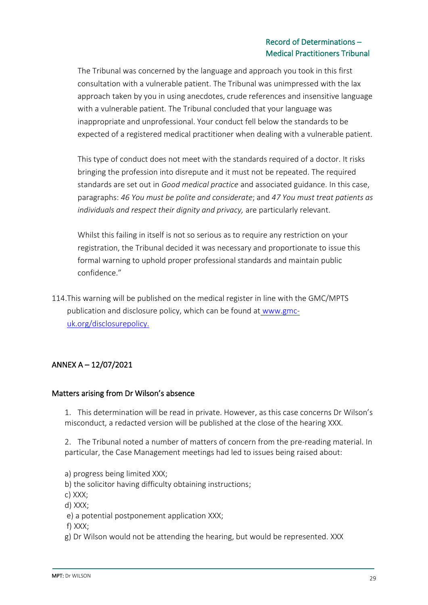The Tribunal was concerned by the language and approach you took in this first consultation with a vulnerable patient. The Tribunal was unimpressed with the lax approach taken by you in using anecdotes, crude references and insensitive language with a vulnerable patient. The Tribunal concluded that your language was inappropriate and unprofessional. Your conduct fell below the standards to be expected of a registered medical practitioner when dealing with a vulnerable patient.

This type of conduct does not meet with the standards required of a doctor. It risks bringing the profession into disrepute and it must not be repeated. The required standards are set out in *Good medical practice* and associated guidance. In this case, paragraphs: *46 You must be polite and considerate*; and *47 You must treat patients as individuals and respect their dignity and privacy,* are particularly relevant.

Whilst this failing in itself is not so serious as to require any restriction on your registration, the Tribunal decided it was necessary and proportionate to issue this formal warning to uphold proper professional standards and maintain public confidence."

114.This warning will be published on the medical register in line with the GMC/MPTS publication and disclosure policy, which can be found at [www.gmc](http://www.gmc-uk.org/disclosurepolicy.)[uk.org/disclosurepolicy.](http://www.gmc-uk.org/disclosurepolicy.)

## ANNEX A – 12/07/2021

#### Matters arising from Dr Wilson's absence

1. This determination will be read in private. However, as this case concerns Dr Wilson's misconduct, a redacted version will be published at the close of the hearing XXX.

2. The Tribunal noted a number of matters of concern from the pre-reading material. In particular, the Case Management meetings had led to issues being raised about:

- a) progress being limited XXX;
- b) the solicitor having difficulty obtaining instructions;
- c) XXX;
- d) XXX;
- e) a potential postponement application XXX;

f) XXX;

g) Dr Wilson would not be attending the hearing, but would be represented. XXX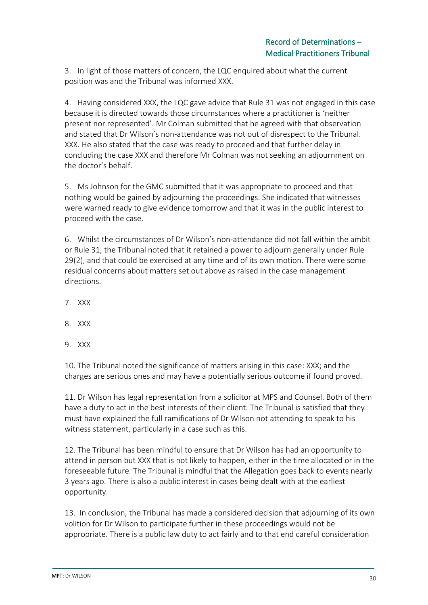3. In light of those matters of concern, the LQC enquired about what the current position was and the Tribunal was informed XXX.

4. Having considered XXX, the LQC gave advice that Rule 31 was not engaged in this case because it is directed towards those circumstances where a practitioner is 'neither present nor represented'. Mr Colman submitted that he agreed with that observation and stated that Dr Wilson's non-attendance was not out of disrespect to the Tribunal. XXX. He also stated that the case was ready to proceed and that further delay in concluding the case XXX and therefore Mr Colman was not seeking an adjournment on the doctor's behalf.

5. Ms Johnson for the GMC submitted that it was appropriate to proceed and that nothing would be gained by adjourning the proceedings. She indicated that witnesses were warned ready to give evidence tomorrow and that it was in the public interest to proceed with the case.

6. Whilst the circumstances of Dr Wilson's non-attendance did not fall within the ambit or Rule 31, the Tribunal noted that it retained a power to adjourn generally under Rule 29(2), and that could be exercised at any time and of its own motion. There were some residual concerns about matters set out above as raised in the case management directions.

- 7. XXX
- 8. XXX
- 9. XXX

10. The Tribunal noted the significance of matters arising in this case: XXX; and the charges are serious ones and may have a potentially serious outcome if found proved.

11. Dr Wilson has legal representation from a solicitor at MPS and Counsel. Both of them have a duty to act in the best interests of their client. The Tribunal is satisfied that they must have explained the full ramifications of Dr Wilson not attending to speak to his witness statement, particularly in a case such as this.

12. The Tribunal has been mindful to ensure that Dr Wilson has had an opportunity to attend in person but XXX that is not likely to happen, either in the time allocated or in the foreseeable future. The Tribunal is mindful that the Allegation goes back to events nearly 3 years ago. There is also a public interest in cases being dealt with at the earliest opportunity.

13. In conclusion, the Tribunal has made a considered decision that adjourning of its own volition for Dr Wilson to participate further in these proceedings would not be appropriate. There is a public law duty to act fairly and to that end careful consideration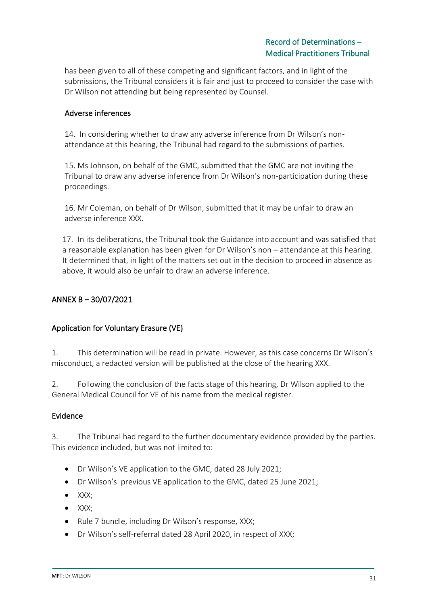has been given to all of these competing and significant factors, and in light of the submissions, the Tribunal considers it is fair and just to proceed to consider the case with Dr Wilson not attending but being represented by Counsel.

### Adverse inferences

14. In considering whether to draw any adverse inference from Dr Wilson's nonattendance at this hearing, the Tribunal had regard to the submissions of parties.

15. Ms Johnson, on behalf of the GMC, submitted that the GMC are not inviting the Tribunal to draw any adverse inference from Dr Wilson's non-participation during these proceedings.

16. Mr Coleman, on behalf of Dr Wilson, submitted that it may be unfair to draw an adverse inference XXX.

17. In its deliberations, the Tribunal took the Guidance into account and was satisfied that a reasonable explanation has been given for Dr Wilson's non – attendance at this hearing. It determined that, in light of the matters set out in the decision to proceed in absence as above, it would also be unfair to draw an adverse inference.

## ANNEX B – 30/07/2021

#### Application for Voluntary Erasure (VE)

1. This determination will be read in private. However, as this case concerns Dr Wilson's misconduct, a redacted version will be published at the close of the hearing XXX.

2. Following the conclusion of the facts stage of this hearing, Dr Wilson applied to the General Medical Council for VE of his name from the medical register.

#### Evidence

3. The Tribunal had regard to the further documentary evidence provided by the parties. This evidence included, but was not limited to:

- Dr Wilson's VE application to the GMC, dated 28 July 2021;
- Dr Wilson's previous VE application to the GMC, dated 25 June 2021;
- XXX;
- XXX;
- Rule 7 bundle, including Dr Wilson's response, XXX;
- Dr Wilson's self-referral dated 28 April 2020, in respect of XXX;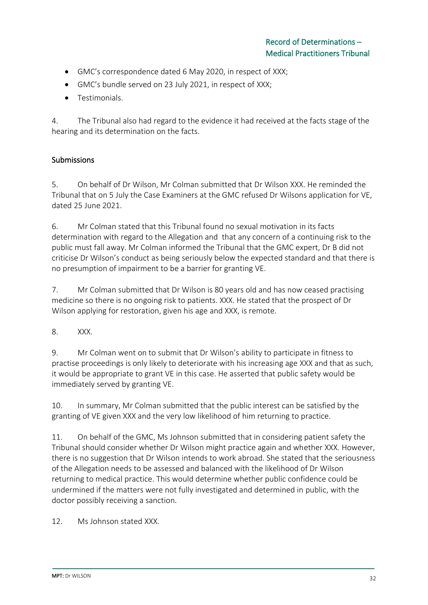- GMC's correspondence dated 6 May 2020, in respect of XXX;
- GMC's bundle served on 23 July 2021, in respect of XXX;
- Testimonials.

4. The Tribunal also had regard to the evidence it had received at the facts stage of the hearing and its determination on the facts.

## **Submissions**

5. On behalf of Dr Wilson, Mr Colman submitted that Dr Wilson XXX. He reminded the Tribunal that on 5 July the Case Examiners at the GMC refused Dr Wilsons application for VE, dated 25 June 2021.

6. Mr Colman stated that this Tribunal found no sexual motivation in its facts determination with regard to the Allegation and that any concern of a continuing risk to the public must fall away. Mr Colman informed the Tribunal that the GMC expert, Dr B did not criticise Dr Wilson's conduct as being seriously below the expected standard and that there is no presumption of impairment to be a barrier for granting VE.

7. Mr Colman submitted that Dr Wilson is 80 years old and has now ceased practising medicine so there is no ongoing risk to patients. XXX. He stated that the prospect of Dr Wilson applying for restoration, given his age and XXX, is remote.

8. XXX.

9. Mr Colman went on to submit that Dr Wilson's ability to participate in fitness to practise proceedings is only likely to deteriorate with his increasing age XXX and that as such, it would be appropriate to grant VE in this case. He asserted that public safety would be immediately served by granting VE.

10. In summary, Mr Colman submitted that the public interest can be satisfied by the granting of VE given XXX and the very low likelihood of him returning to practice.

11. On behalf of the GMC, Ms Johnson submitted that in considering patient safety the Tribunal should consider whether Dr Wilson might practice again and whether XXX. However, there is no suggestion that Dr Wilson intends to work abroad. She stated that the seriousness of the Allegation needs to be assessed and balanced with the likelihood of Dr Wilson returning to medical practice. This would determine whether public confidence could be undermined if the matters were not fully investigated and determined in public, with the doctor possibly receiving a sanction.

12. Ms Johnson stated XXX.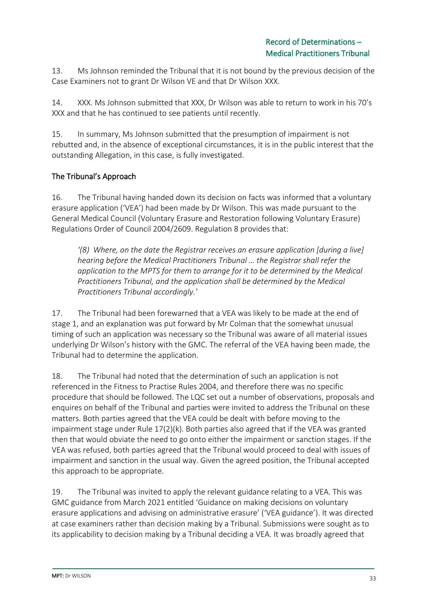13. Ms Johnson reminded the Tribunal that it is not bound by the previous decision of the Case Examiners not to grant Dr Wilson VE and that Dr Wilson XXX.

14. XXX. Ms Johnson submitted that XXX, Dr Wilson was able to return to work in his 70's XXX and that he has continued to see patients until recently.

15. In summary, Ms Johnson submitted that the presumption of impairment is not rebutted and, in the absence of exceptional circumstances, it is in the public interest that the outstanding Allegation, in this case, is fully investigated.

## The Tribunal's Approach

16. The Tribunal having handed down its decision on facts was informed that a voluntary erasure application ('VEA') had been made by Dr Wilson. This was made pursuant to the General Medical Council (Voluntary Erasure and Restoration following Voluntary Erasure) Regulations Order of Council 2004/2609. Regulation 8 provides that:

*'(8) Where, on the date the Registrar receives an erasure application [during a live] hearing before the Medical Practitioners Tribunal … the Registrar shall refer the application to the MPTS for them to arrange for it to be determined by the Medical Practitioners Tribunal, and the application shall be determined by the Medical Practitioners Tribunal accordingly.'*

17. The Tribunal had been forewarned that a VEA was likely to be made at the end of stage 1, and an explanation was put forward by Mr Colman that the somewhat unusual timing of such an application was necessary so the Tribunal was aware of all material issues underlying Dr Wilson's history with the GMC. The referral of the VEA having been made, the Tribunal had to determine the application.

18. The Tribunal had noted that the determination of such an application is not referenced in the Fitness to Practise Rules 2004, and therefore there was no specific procedure that should be followed. The LQC set out a number of observations, proposals and enquires on behalf of the Tribunal and parties were invited to address the Tribunal on these matters. Both parties agreed that the VEA could be dealt with before moving to the impairment stage under Rule 17(2)(k). Both parties also agreed that if the VEA was granted then that would obviate the need to go onto either the impairment or sanction stages. If the VEA was refused, both parties agreed that the Tribunal would proceed to deal with issues of impairment and sanction in the usual way. Given the agreed position, the Tribunal accepted this approach to be appropriate.

19. The Tribunal was invited to apply the relevant guidance relating to a VEA. This was GMC guidance from March 2021 entitled 'Guidance on making decisions on voluntary erasure applications and advising on administrative erasure' ('VEA guidance'). It was directed at case examiners rather than decision making by a Tribunal. Submissions were sought as to its applicability to decision making by a Tribunal deciding a VEA. It was broadly agreed that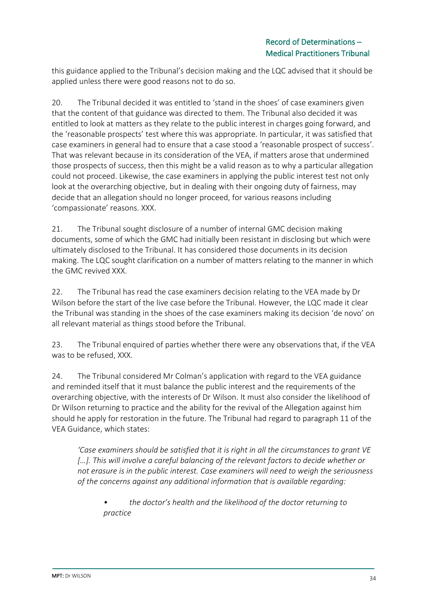this guidance applied to the Tribunal's decision making and the LQC advised that it should be applied unless there were good reasons not to do so.

20. The Tribunal decided it was entitled to 'stand in the shoes' of case examiners given that the content of that guidance was directed to them. The Tribunal also decided it was entitled to look at matters as they relate to the public interest in charges going forward, and the 'reasonable prospects' test where this was appropriate. In particular, it was satisfied that case examiners in general had to ensure that a case stood a 'reasonable prospect of success'. That was relevant because in its consideration of the VEA, if matters arose that undermined those prospects of success, then this might be a valid reason as to why a particular allegation could not proceed. Likewise, the case examiners in applying the public interest test not only look at the overarching objective, but in dealing with their ongoing duty of fairness, may decide that an allegation should no longer proceed, for various reasons including 'compassionate' reasons. XXX.

21. The Tribunal sought disclosure of a number of internal GMC decision making documents, some of which the GMC had initially been resistant in disclosing but which were ultimately disclosed to the Tribunal. It has considered those documents in its decision making. The LQC sought clarification on a number of matters relating to the manner in which the GMC revived XXX.

22. The Tribunal has read the case examiners decision relating to the VEA made by Dr Wilson before the start of the live case before the Tribunal. However, the LQC made it clear the Tribunal was standing in the shoes of the case examiners making its decision 'de novo' on all relevant material as things stood before the Tribunal.

23. The Tribunal enquired of parties whether there were any observations that, if the VEA was to be refused, XXX.

24. The Tribunal considered Mr Colman's application with regard to the VEA guidance and reminded itself that it must balance the public interest and the requirements of the overarching objective, with the interests of Dr Wilson. It must also consider the likelihood of Dr Wilson returning to practice and the ability for the revival of the Allegation against him should he apply for restoration in the future. The Tribunal had regard to paragraph 11 of the VEA Guidance, which states:

*'Case examiners should be satisfied that it is right in all the circumstances to grant VE*  [...]. This will involve a careful balancing of the relevant factors to decide whether or *not erasure is in the public interest. Case examiners will need to weigh the seriousness of the concerns against any additional information that is available regarding:* 

*• the doctor's health and the likelihood of the doctor returning to practice*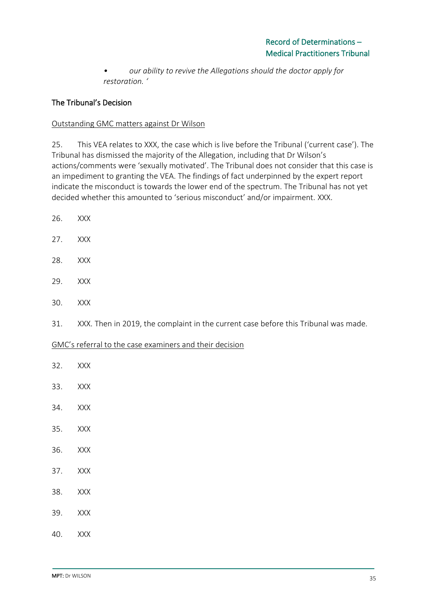*• our ability to revive the Allegations should the doctor apply for restoration. '*

## The Tribunal's Decision

#### Outstanding GMC matters against Dr Wilson

25. This VEA relates to XXX, the case which is live before the Tribunal ('current case'). The Tribunal has dismissed the majority of the Allegation, including that Dr Wilson's actions/comments were 'sexually motivated'. The Tribunal does not consider that this case is an impediment to granting the VEA. The findings of fact underpinned by the expert report indicate the misconduct is towards the lower end of the spectrum. The Tribunal has not yet decided whether this amounted to 'serious misconduct' and/or impairment. XXX.

- 26. XXX
- 27. XXX
- 28. XXX
- 29. XXX
- 30. XXX
- 31. XXX. Then in 2019, the complaint in the current case before this Tribunal was made.

#### GMC's referral to the case examiners and their decision

- 32. XXX
- 33. XXX
- 34. XXX
- 35. XXX
- 36. XXX
- 37. XXX
- 38. XXX
- 39. XXX
- 40. XXX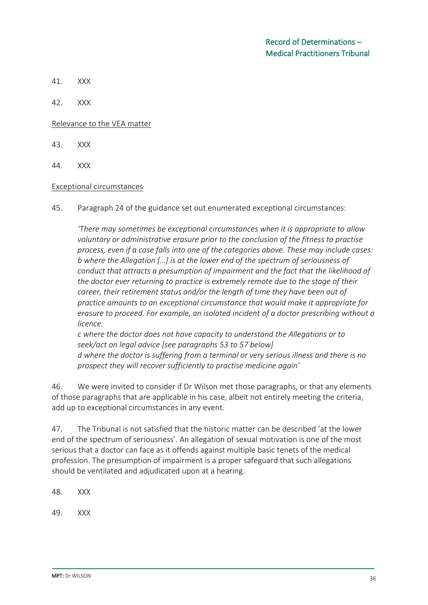- 41. XXX
- 42. XXX

Relevance to the VEA matter

- 43. XXX
- 44. XXX

#### Exceptional circumstances

45. Paragraph 24 of the guidance set out enumerated exceptional circumstances:

*'There may sometimes be exceptional circumstances when it is appropriate to allow voluntary or administrative erasure prior to the conclusion of the fitness to practise process, even if a case falls into one of the categories above. These may include cases: b where the Allegation […] is at the lower end of the spectrum of seriousness of conduct that attracts a presumption of impairment and the fact that the likelihood of the doctor ever returning to practice is extremely remote due to the stage of their career, their retirement status and/or the length of time they have been out of practice amounts to an exceptional circumstance that would make it appropriate for erasure to proceed. For example, an isolated incident of a doctor prescribing without a licence.* 

*c where the doctor does not have capacity to understand the Allegations or to seek/act on legal advice [see paragraphs 53 to 57 below] d where the doctor is suffering from a terminal or very serious illness and there is no prospect they will recover sufficiently to practise medicine again'*

46. We were invited to consider if Dr Wilson met those paragraphs, or that any elements of those paragraphs that are applicable in his case, albeit not entirely meeting the criteria, add up to exceptional circumstances in any event.

47. The Tribunal is not satisfied that the historic matter can be described 'at the lower end of the spectrum of seriousness'. An allegation of sexual motivation is one of the most serious that a doctor can face as it offends against multiple basic tenets of the medical profession. The presumption of impairment is a proper safeguard that such allegations should be ventilated and adjudicated upon at a hearing.

48. XXX

49. XXX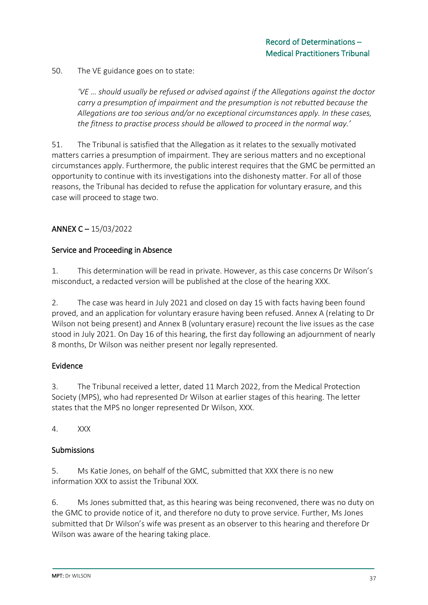50. The VE guidance goes on to state:

*'VE … should usually be refused or advised against if the Allegations against the doctor carry a presumption of impairment and the presumption is not rebutted because the Allegations are too serious and/or no exceptional circumstances apply. In these cases, the fitness to practise process should be allowed to proceed in the normal way.'*

51. The Tribunal is satisfied that the Allegation as it relates to the sexually motivated matters carries a presumption of impairment. They are serious matters and no exceptional circumstances apply. Furthermore, the public interest requires that the GMC be permitted an opportunity to continue with its investigations into the dishonesty matter. For all of those reasons, the Tribunal has decided to refuse the application for voluntary erasure, and this case will proceed to stage two.

## ANNEX C – 15/03/2022

#### Service and Proceeding in Absence

1. This determination will be read in private. However, as this case concerns Dr Wilson's misconduct, a redacted version will be published at the close of the hearing XXX.

2. The case was heard in July 2021 and closed on day 15 with facts having been found proved, and an application for voluntary erasure having been refused. Annex A (relating to Dr Wilson not being present) and Annex B (voluntary erasure) recount the live issues as the case stood in July 2021. On Day 16 of this hearing, the first day following an adjournment of nearly 8 months, Dr Wilson was neither present nor legally represented.

#### Evidence

3. The Tribunal received a letter, dated 11 March 2022, from the Medical Protection Society (MPS), who had represented Dr Wilson at earlier stages of this hearing. The letter states that the MPS no longer represented Dr Wilson, XXX.

4. XXX

#### **Submissions**

5. Ms Katie Jones, on behalf of the GMC, submitted that XXX there is no new information XXX to assist the Tribunal XXX.

6. Ms Jones submitted that, as this hearing was being reconvened, there was no duty on the GMC to provide notice of it, and therefore no duty to prove service. Further, Ms Jones submitted that Dr Wilson's wife was present as an observer to this hearing and therefore Dr Wilson was aware of the hearing taking place.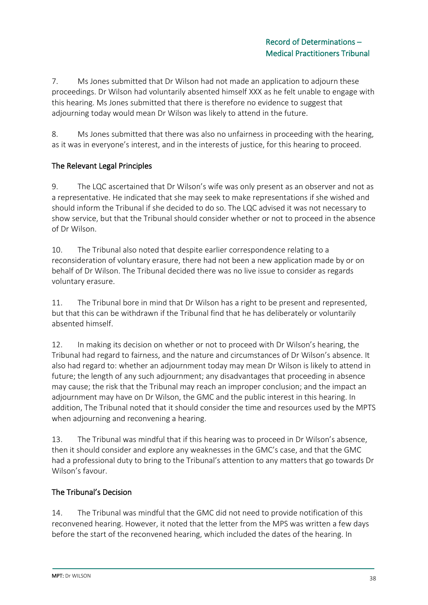7. Ms Jones submitted that Dr Wilson had not made an application to adjourn these proceedings. Dr Wilson had voluntarily absented himself XXX as he felt unable to engage with this hearing. Ms Jones submitted that there is therefore no evidence to suggest that adjourning today would mean Dr Wilson was likely to attend in the future.

8. Ms Jones submitted that there was also no unfairness in proceeding with the hearing, as it was in everyone's interest, and in the interests of justice, for this hearing to proceed.

## The Relevant Legal Principles

9. The LQC ascertained that Dr Wilson's wife was only present as an observer and not as a representative. He indicated that she may seek to make representations if she wished and should inform the Tribunal if she decided to do so. The LQC advised it was not necessary to show service, but that the Tribunal should consider whether or not to proceed in the absence of Dr Wilson.

10. The Tribunal also noted that despite earlier correspondence relating to a reconsideration of voluntary erasure, there had not been a new application made by or on behalf of Dr Wilson. The Tribunal decided there was no live issue to consider as regards voluntary erasure.

11. The Tribunal bore in mind that Dr Wilson has a right to be present and represented, but that this can be withdrawn if the Tribunal find that he has deliberately or voluntarily absented himself.

12. In making its decision on whether or not to proceed with Dr Wilson's hearing, the Tribunal had regard to fairness, and the nature and circumstances of Dr Wilson's absence. It also had regard to: whether an adjournment today may mean Dr Wilson is likely to attend in future; the length of any such adjournment; any disadvantages that proceeding in absence may cause; the risk that the Tribunal may reach an improper conclusion; and the impact an adjournment may have on Dr Wilson, the GMC and the public interest in this hearing. In addition, The Tribunal noted that it should consider the time and resources used by the MPTS when adjourning and reconvening a hearing.

13. The Tribunal was mindful that if this hearing was to proceed in Dr Wilson's absence, then it should consider and explore any weaknesses in the GMC's case, and that the GMC had a professional duty to bring to the Tribunal's attention to any matters that go towards Dr Wilson's favour.

#### The Tribunal's Decision

14. The Tribunal was mindful that the GMC did not need to provide notification of this reconvened hearing. However, it noted that the letter from the MPS was written a few days before the start of the reconvened hearing, which included the dates of the hearing. In